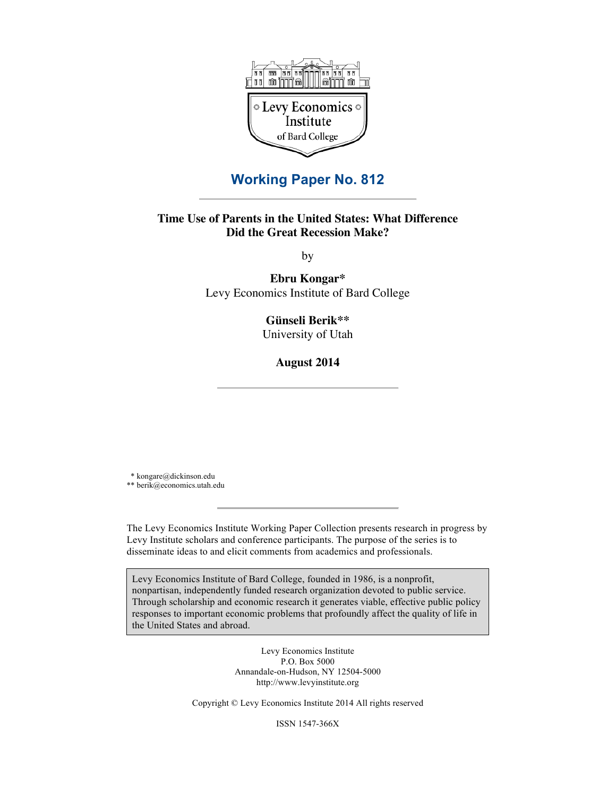

# **Working Paper No. 812**

# **Time Use of Parents in the United States: What Difference Did the Great Recession Make?**

by

**Ebru Kongar\*** Levy Economics Institute of Bard College

**Günseli Berik\*\***

University of Utah

**August 2014**

 \* kongare@dickinson.edu \*\* berik@economics.utah.edu

The Levy Economics Institute Working Paper Collection presents research in progress by Levy Institute scholars and conference participants. The purpose of the series is to disseminate ideas to and elicit comments from academics and professionals.

Levy Economics Institute of Bard College, founded in 1986, is a nonprofit, nonpartisan, independently funded research organization devoted to public service. Through scholarship and economic research it generates viable, effective public policy responses to important economic problems that profoundly affect the quality of life in the United States and abroad.

> Levy Economics Institute P.O. Box 5000 Annandale-on-Hudson, NY 12504-5000 http://www.levyinstitute.org

Copyright © Levy Economics Institute 2014 All rights reserved

ISSN 1547-366X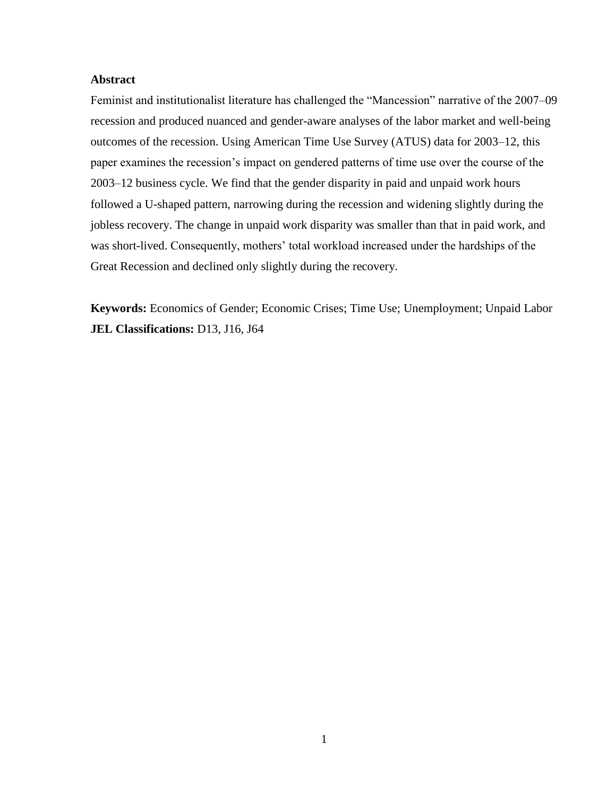# **Abstract**

Feminist and institutionalist literature has challenged the "Mancession" narrative of the 2007–09 recession and produced nuanced and gender-aware analyses of the labor market and well-being outcomes of the recession. Using American Time Use Survey (ATUS) data for 2003–12, this paper examines the recession's impact on gendered patterns of time use over the course of the 2003–12 business cycle. We find that the gender disparity in paid and unpaid work hours followed a U-shaped pattern, narrowing during the recession and widening slightly during the jobless recovery. The change in unpaid work disparity was smaller than that in paid work, and was short-lived. Consequently, mothers' total workload increased under the hardships of the Great Recession and declined only slightly during the recovery.

**Keywords:** Economics of Gender; Economic Crises; Time Use; Unemployment; Unpaid Labor **JEL Classifications:** D13, J16, J64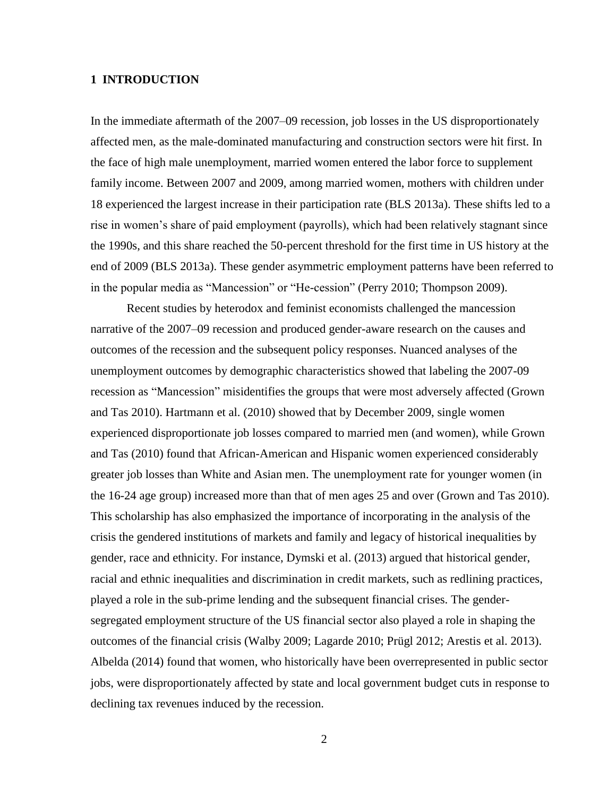# **1 INTRODUCTION**

In the immediate aftermath of the 2007–09 recession, job losses in the US disproportionately affected men, as the male-dominated manufacturing and construction sectors were hit first. In the face of high male unemployment, married women entered the labor force to supplement family income. Between 2007 and 2009, among married women, mothers with children under 18 experienced the largest increase in their participation rate (BLS 2013a). These shifts led to a rise in women's share of paid employment (payrolls), which had been relatively stagnant since the 1990s, and this share reached the 50-percent threshold for the first time in US history at the end of 2009 (BLS 2013a). These gender asymmetric employment patterns have been referred to in the popular media as "Mancession" or "He-cession" (Perry 2010; Thompson 2009).

Recent studies by heterodox and feminist economists challenged the mancession narrative of the 2007–09 recession and produced gender-aware research on the causes and outcomes of the recession and the subsequent policy responses. Nuanced analyses of the unemployment outcomes by demographic characteristics showed that labeling the 2007-09 recession as "Mancession" misidentifies the groups that were most adversely affected (Grown and Tas 2010). Hartmann et al. (2010) showed that by December 2009, single women experienced disproportionate job losses compared to married men (and women), while Grown and Tas (2010) found that African-American and Hispanic women experienced considerably greater job losses than White and Asian men. The unemployment rate for younger women (in the 16-24 age group) increased more than that of men ages 25 and over (Grown and Tas 2010). This scholarship has also emphasized the importance of incorporating in the analysis of the crisis the gendered institutions of markets and family and legacy of historical inequalities by gender, race and ethnicity. For instance, Dymski et al. (2013) argued that historical gender, racial and ethnic inequalities and discrimination in credit markets, such as redlining practices, played a role in the sub-prime lending and the subsequent financial crises. The gendersegregated employment structure of the US financial sector also played a role in shaping the outcomes of the financial crisis (Walby 2009; Lagarde 2010; Prügl 2012; Arestis et al. 2013). Albelda (2014) found that women, who historically have been overrepresented in public sector jobs, were disproportionately affected by state and local government budget cuts in response to declining tax revenues induced by the recession.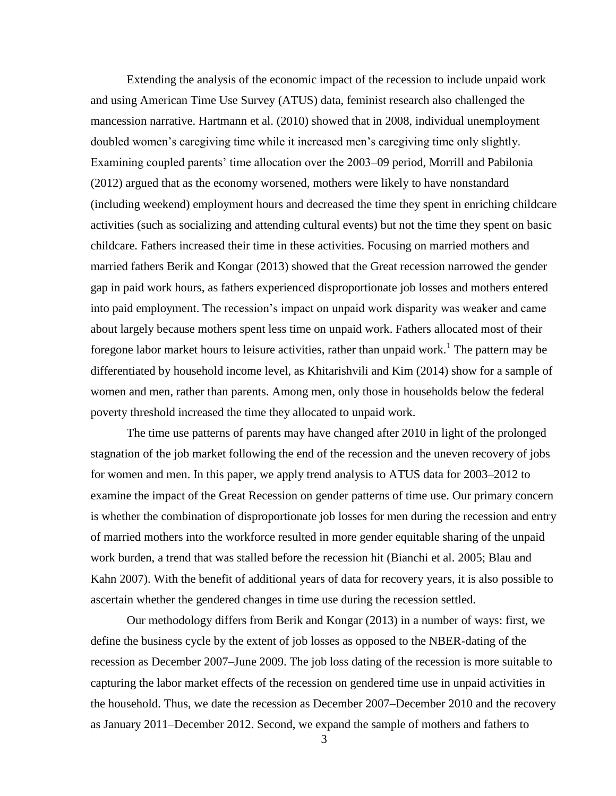Extending the analysis of the economic impact of the recession to include unpaid work and using American Time Use Survey (ATUS) data, feminist research also challenged the mancession narrative. Hartmann et al. (2010) showed that in 2008, individual unemployment doubled women's caregiving time while it increased men's caregiving time only slightly. Examining coupled parents' time allocation over the 2003–09 period, Morrill and Pabilonia (2012) argued that as the economy worsened, mothers were likely to have nonstandard (including weekend) employment hours and decreased the time they spent in enriching childcare activities (such as socializing and attending cultural events) but not the time they spent on basic childcare. Fathers increased their time in these activities. Focusing on married mothers and married fathers Berik and Kongar (2013) showed that the Great recession narrowed the gender gap in paid work hours, as fathers experienced disproportionate job losses and mothers entered into paid employment. The recession's impact on unpaid work disparity was weaker and came about largely because mothers spent less time on unpaid work. Fathers allocated most of their foregone labor market hours to leisure activities, rather than unpaid work.<sup>1</sup> The pattern may be differentiated by household income level, as Khitarishvili and Kim (2014) show for a sample of women and men, rather than parents. Among men, only those in households below the federal poverty threshold increased the time they allocated to unpaid work.

The time use patterns of parents may have changed after 2010 in light of the prolonged stagnation of the job market following the end of the recession and the uneven recovery of jobs for women and men. In this paper, we apply trend analysis to ATUS data for 2003–2012 to examine the impact of the Great Recession on gender patterns of time use. Our primary concern is whether the combination of disproportionate job losses for men during the recession and entry of married mothers into the workforce resulted in more gender equitable sharing of the unpaid work burden, a trend that was stalled before the recession hit (Bianchi et al. 2005; Blau and Kahn 2007). With the benefit of additional years of data for recovery years, it is also possible to ascertain whether the gendered changes in time use during the recession settled.

Our methodology differs from Berik and Kongar (2013) in a number of ways: first, we define the business cycle by the extent of job losses as opposed to the NBER-dating of the recession as December 2007–June 2009. The job loss dating of the recession is more suitable to capturing the labor market effects of the recession on gendered time use in unpaid activities in the household. Thus, we date the recession as December 2007–December 2010 and the recovery as January 2011–December 2012. Second, we expand the sample of mothers and fathers to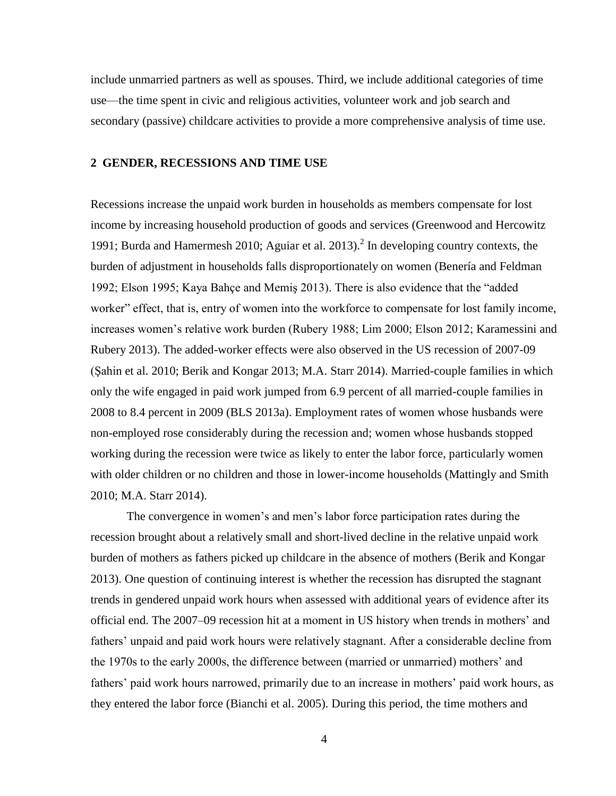include unmarried partners as well as spouses. Third, we include additional categories of time use—the time spent in civic and religious activities, volunteer work and job search and secondary (passive) childcare activities to provide a more comprehensive analysis of time use.

## **2 GENDER, RECESSIONS AND TIME USE**

Recessions increase the unpaid work burden in households as members compensate for lost income by increasing household production of goods and services (Greenwood and Hercowitz 1991; Burda and Hamermesh 2010; Aguiar et al.  $2013$ ).<sup>2</sup> In developing country contexts, the burden of adjustment in households falls disproportionately on women (Benería and Feldman 1992; Elson 1995; Kaya Bahçe and Memiş 2013). There is also evidence that the "added worker" effect, that is, entry of women into the workforce to compensate for lost family income, increases women's relative work burden (Rubery 1988; Lim 2000; Elson 2012; Karamessini and Rubery 2013). The added-worker effects were also observed in the US recession of 2007-09 (Şahin et al. 2010; Berik and Kongar 2013; M.A. Starr 2014). Married-couple families in which only the wife engaged in paid work jumped from 6.9 percent of all married-couple families in 2008 to 8.4 percent in 2009 (BLS 2013a). Employment rates of women whose husbands were non-employed rose considerably during the recession and; women whose husbands stopped working during the recession were twice as likely to enter the labor force, particularly women with older children or no children and those in lower-income households (Mattingly and Smith 2010; M.A. Starr 2014).

The convergence in women's and men's labor force participation rates during the recession brought about a relatively small and short-lived decline in the relative unpaid work burden of mothers as fathers picked up childcare in the absence of mothers (Berik and Kongar 2013). One question of continuing interest is whether the recession has disrupted the stagnant trends in gendered unpaid work hours when assessed with additional years of evidence after its official end. The 2007–09 recession hit at a moment in US history when trends in mothers' and fathers' unpaid and paid work hours were relatively stagnant. After a considerable decline from the 1970s to the early 2000s, the difference between (married or unmarried) mothers' and fathers' paid work hours narrowed, primarily due to an increase in mothers' paid work hours, as they entered the labor force (Bianchi et al. 2005). During this period, the time mothers and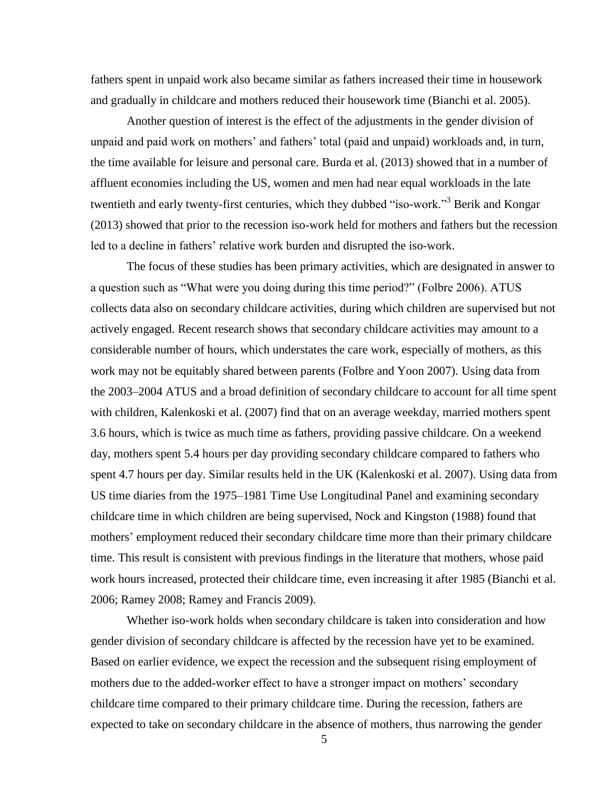fathers spent in unpaid work also became similar as fathers increased their time in housework and gradually in childcare and mothers reduced their housework time (Bianchi et al. 2005).

Another question of interest is the effect of the adjustments in the gender division of unpaid and paid work on mothers' and fathers' total (paid and unpaid) workloads and, in turn, the time available for leisure and personal care. Burda et al. (2013) showed that in a number of affluent economies including the US, women and men had near equal workloads in the late twentieth and early twenty-first centuries, which they dubbed "iso-work."<sup>3</sup> Berik and Kongar (2013) showed that prior to the recession iso-work held for mothers and fathers but the recession led to a decline in fathers' relative work burden and disrupted the iso-work.

The focus of these studies has been primary activities, which are designated in answer to a question such as "What were you doing during this time period?" (Folbre 2006). ATUS collects data also on secondary childcare activities, during which children are supervised but not actively engaged. Recent research shows that secondary childcare activities may amount to a considerable number of hours, which understates the care work, especially of mothers, as this work may not be equitably shared between parents (Folbre and Yoon 2007). Using data from the 2003–2004 ATUS and a broad definition of secondary childcare to account for all time spent with children, Kalenkoski et al. (2007) find that on an average weekday, married mothers spent 3.6 hours, which is twice as much time as fathers, providing passive childcare. On a weekend day, mothers spent 5.4 hours per day providing secondary childcare compared to fathers who spent 4.7 hours per day. Similar results held in the UK (Kalenkoski et al. 2007). Using data from US time diaries from the 1975–1981 Time Use Longitudinal Panel and examining secondary childcare time in which children are being supervised, Nock and Kingston (1988) found that mothers' employment reduced their secondary childcare time more than their primary childcare time. This result is consistent with previous findings in the literature that mothers, whose paid work hours increased, protected their childcare time, even increasing it after 1985 (Bianchi et al. 2006; Ramey 2008; Ramey and Francis 2009).

Whether iso-work holds when secondary childcare is taken into consideration and how gender division of secondary childcare is affected by the recession have yet to be examined. Based on earlier evidence, we expect the recession and the subsequent rising employment of mothers due to the added-worker effect to have a stronger impact on mothers' secondary childcare time compared to their primary childcare time. During the recession, fathers are expected to take on secondary childcare in the absence of mothers, thus narrowing the gender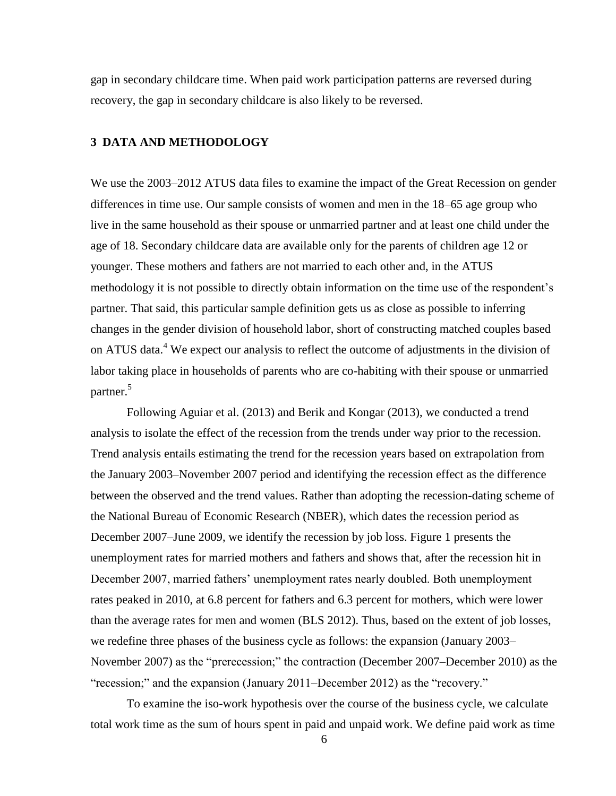gap in secondary childcare time. When paid work participation patterns are reversed during recovery, the gap in secondary childcare is also likely to be reversed.

# **3 DATA AND METHODOLOGY**

We use the 2003–2012 ATUS data files to examine the impact of the Great Recession on gender differences in time use. Our sample consists of women and men in the 18–65 age group who live in the same household as their spouse or unmarried partner and at least one child under the age of 18. Secondary childcare data are available only for the parents of children age 12 or younger. These mothers and fathers are not married to each other and, in the ATUS methodology it is not possible to directly obtain information on the time use of the respondent's partner. That said, this particular sample definition gets us as close as possible to inferring changes in the gender division of household labor, short of constructing matched couples based on ATUS data.<sup>4</sup> We expect our analysis to reflect the outcome of adjustments in the division of labor taking place in households of parents who are co-habiting with their spouse or unmarried partner.<sup>5</sup>

Following Aguiar et al. (2013) and Berik and Kongar (2013), we conducted a trend analysis to isolate the effect of the recession from the trends under way prior to the recession. Trend analysis entails estimating the trend for the recession years based on extrapolation from the January 2003–November 2007 period and identifying the recession effect as the difference between the observed and the trend values. Rather than adopting the recession-dating scheme of the National Bureau of Economic Research (NBER), which dates the recession period as December 2007–June 2009, we identify the recession by job loss. Figure 1 presents the unemployment rates for married mothers and fathers and shows that, after the recession hit in December 2007, married fathers' unemployment rates nearly doubled. Both unemployment rates peaked in 2010, at 6.8 percent for fathers and 6.3 percent for mothers, which were lower than the average rates for men and women (BLS 2012). Thus, based on the extent of job losses, we redefine three phases of the business cycle as follows: the expansion (January 2003– November 2007) as the "prerecession;" the contraction (December 2007–December 2010) as the "recession;" and the expansion (January 2011–December 2012) as the "recovery."

To examine the iso-work hypothesis over the course of the business cycle, we calculate total work time as the sum of hours spent in paid and unpaid work. We define paid work as time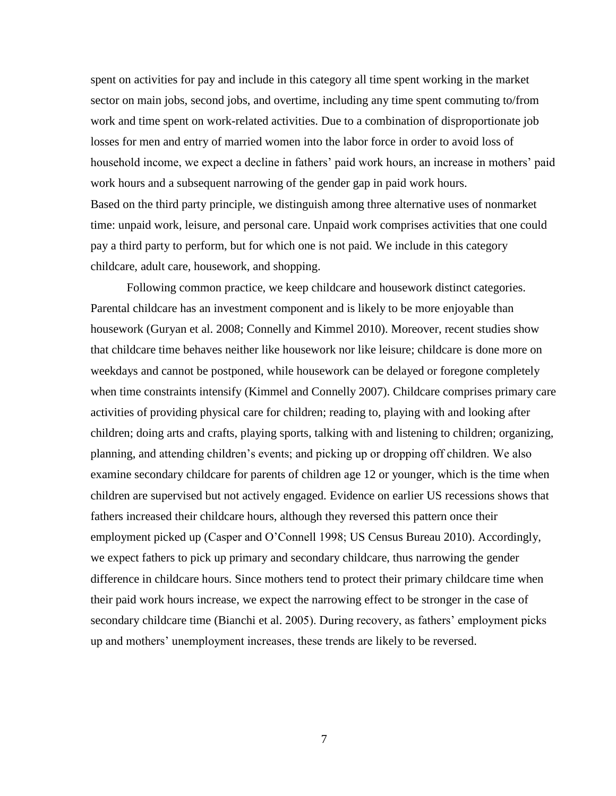spent on activities for pay and include in this category all time spent working in the market sector on main jobs, second jobs, and overtime, including any time spent commuting to/from work and time spent on work-related activities. Due to a combination of disproportionate job losses for men and entry of married women into the labor force in order to avoid loss of household income, we expect a decline in fathers' paid work hours, an increase in mothers' paid work hours and a subsequent narrowing of the gender gap in paid work hours. Based on the third party principle, we distinguish among three alternative uses of nonmarket time: unpaid work, leisure, and personal care. Unpaid work comprises activities that one could pay a third party to perform, but for which one is not paid. We include in this category childcare, adult care, housework, and shopping.

Following common practice, we keep childcare and housework distinct categories. Parental childcare has an investment component and is likely to be more enjoyable than housework (Guryan et al. 2008; Connelly and Kimmel 2010). Moreover, recent studies show that childcare time behaves neither like housework nor like leisure; childcare is done more on weekdays and cannot be postponed, while housework can be delayed or foregone completely when time constraints intensify (Kimmel and Connelly 2007). Childcare comprises primary care activities of providing physical care for children; reading to, playing with and looking after children; doing arts and crafts, playing sports, talking with and listening to children; organizing, planning, and attending children's events; and picking up or dropping off children. We also examine secondary childcare for parents of children age 12 or younger, which is the time when children are supervised but not actively engaged. Evidence on earlier US recessions shows that fathers increased their childcare hours, although they reversed this pattern once their employment picked up (Casper and O'Connell 1998; US Census Bureau 2010). Accordingly, we expect fathers to pick up primary and secondary childcare, thus narrowing the gender difference in childcare hours. Since mothers tend to protect their primary childcare time when their paid work hours increase, we expect the narrowing effect to be stronger in the case of secondary childcare time (Bianchi et al. 2005). During recovery, as fathers' employment picks up and mothers' unemployment increases, these trends are likely to be reversed.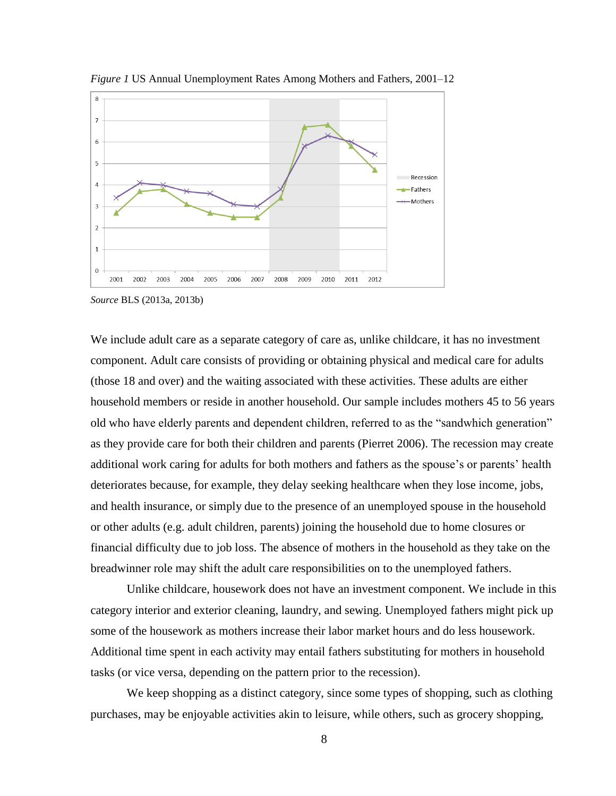

*Figure 1* US Annual Unemployment Rates Among Mothers and Fathers, 2001–12

*Source* BLS (2013a, 2013b)

We include adult care as a separate category of care as, unlike childcare, it has no investment component. Adult care consists of providing or obtaining physical and medical care for adults (those 18 and over) and the waiting associated with these activities. These adults are either household members or reside in another household. Our sample includes mothers 45 to 56 years old who have elderly parents and dependent children, referred to as the "sandwhich generation" as they provide care for both their children and parents (Pierret 2006). The recession may create additional work caring for adults for both mothers and fathers as the spouse's or parents' health deteriorates because, for example, they delay seeking healthcare when they lose income, jobs, and health insurance, or simply due to the presence of an unemployed spouse in the household or other adults (e.g. adult children, parents) joining the household due to home closures or financial difficulty due to job loss. The absence of mothers in the household as they take on the breadwinner role may shift the adult care responsibilities on to the unemployed fathers.

Unlike childcare, housework does not have an investment component. We include in this category interior and exterior cleaning, laundry, and sewing. Unemployed fathers might pick up some of the housework as mothers increase their labor market hours and do less housework. Additional time spent in each activity may entail fathers substituting for mothers in household tasks (or vice versa, depending on the pattern prior to the recession).

We keep shopping as a distinct category, since some types of shopping, such as clothing purchases, may be enjoyable activities akin to leisure, while others, such as grocery shopping,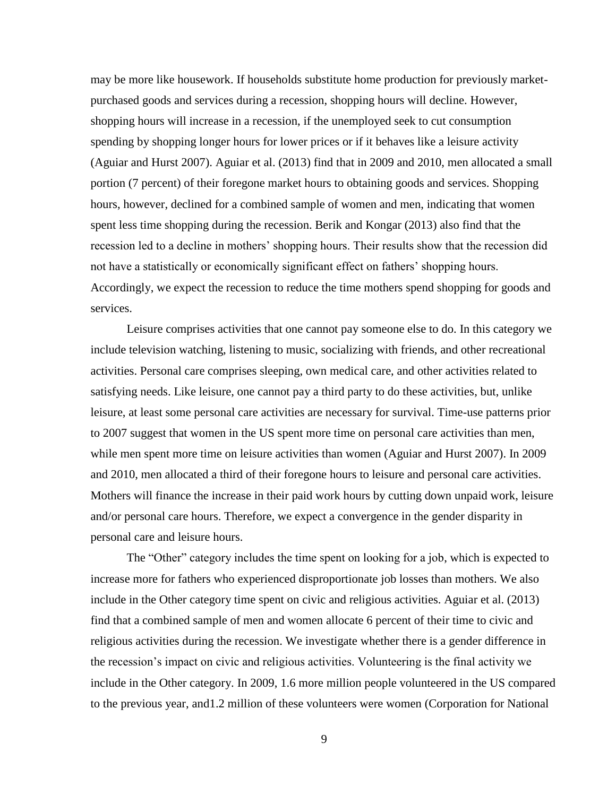may be more like housework. If households substitute home production for previously marketpurchased goods and services during a recession, shopping hours will decline. However, shopping hours will increase in a recession, if the unemployed seek to cut consumption spending by shopping longer hours for lower prices or if it behaves like a leisure activity (Aguiar and Hurst 2007). Aguiar et al. (2013) find that in 2009 and 2010, men allocated a small portion (7 percent) of their foregone market hours to obtaining goods and services. Shopping hours, however, declined for a combined sample of women and men, indicating that women spent less time shopping during the recession. Berik and Kongar (2013) also find that the recession led to a decline in mothers' shopping hours. Their results show that the recession did not have a statistically or economically significant effect on fathers' shopping hours. Accordingly, we expect the recession to reduce the time mothers spend shopping for goods and services.

Leisure comprises activities that one cannot pay someone else to do. In this category we include television watching, listening to music, socializing with friends, and other recreational activities. Personal care comprises sleeping, own medical care, and other activities related to satisfying needs. Like leisure, one cannot pay a third party to do these activities, but, unlike leisure, at least some personal care activities are necessary for survival. Time-use patterns prior to 2007 suggest that women in the US spent more time on personal care activities than men, while men spent more time on leisure activities than women (Aguiar and Hurst 2007). In 2009 and 2010, men allocated a third of their foregone hours to leisure and personal care activities. Mothers will finance the increase in their paid work hours by cutting down unpaid work, leisure and/or personal care hours. Therefore, we expect a convergence in the gender disparity in personal care and leisure hours.

The "Other" category includes the time spent on looking for a job, which is expected to increase more for fathers who experienced disproportionate job losses than mothers. We also include in the Other category time spent on civic and religious activities. Aguiar et al. (2013) find that a combined sample of men and women allocate 6 percent of their time to civic and religious activities during the recession. We investigate whether there is a gender difference in the recession's impact on civic and religious activities. Volunteering is the final activity we include in the Other category. In 2009, 1.6 more million people volunteered in the US compared to the previous year, and1.2 million of these volunteers were women (Corporation for National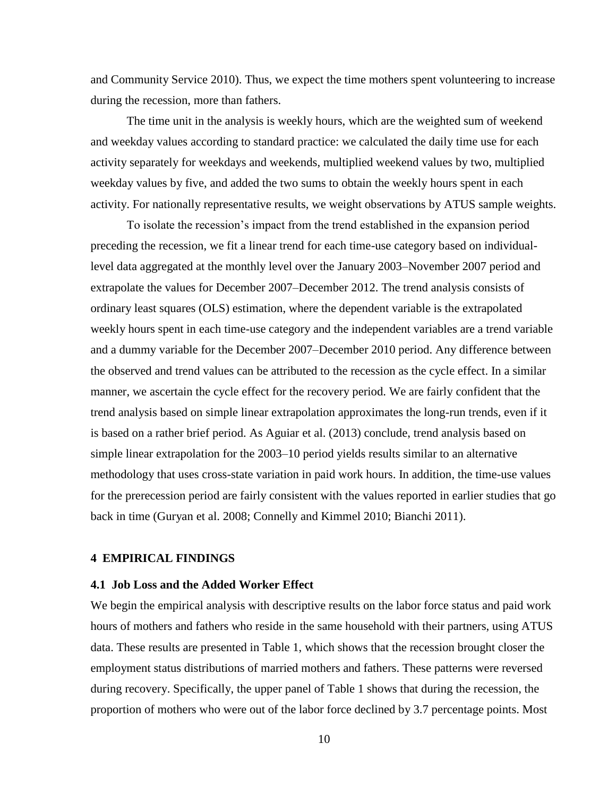and Community Service 2010). Thus, we expect the time mothers spent volunteering to increase during the recession, more than fathers.

The time unit in the analysis is weekly hours, which are the weighted sum of weekend and weekday values according to standard practice: we calculated the daily time use for each activity separately for weekdays and weekends, multiplied weekend values by two, multiplied weekday values by five, and added the two sums to obtain the weekly hours spent in each activity. For nationally representative results, we weight observations by ATUS sample weights.

To isolate the recession's impact from the trend established in the expansion period preceding the recession, we fit a linear trend for each time-use category based on individuallevel data aggregated at the monthly level over the January 2003–November 2007 period and extrapolate the values for December 2007–December 2012. The trend analysis consists of ordinary least squares (OLS) estimation, where the dependent variable is the extrapolated weekly hours spent in each time-use category and the independent variables are a trend variable and a dummy variable for the December 2007–December 2010 period. Any difference between the observed and trend values can be attributed to the recession as the cycle effect. In a similar manner, we ascertain the cycle effect for the recovery period. We are fairly confident that the trend analysis based on simple linear extrapolation approximates the long-run trends, even if it is based on a rather brief period. As Aguiar et al. (2013) conclude, trend analysis based on simple linear extrapolation for the 2003–10 period yields results similar to an alternative methodology that uses cross-state variation in paid work hours. In addition, the time-use values for the prerecession period are fairly consistent with the values reported in earlier studies that go back in time (Guryan et al. 2008; Connelly and Kimmel 2010; Bianchi 2011).

# **4 EMPIRICAL FINDINGS**

#### **4.1 Job Loss and the Added Worker Effect**

We begin the empirical analysis with descriptive results on the labor force status and paid work hours of mothers and fathers who reside in the same household with their partners, using ATUS data. These results are presented in Table 1, which shows that the recession brought closer the employment status distributions of married mothers and fathers. These patterns were reversed during recovery. Specifically, the upper panel of Table 1 shows that during the recession, the proportion of mothers who were out of the labor force declined by 3.7 percentage points. Most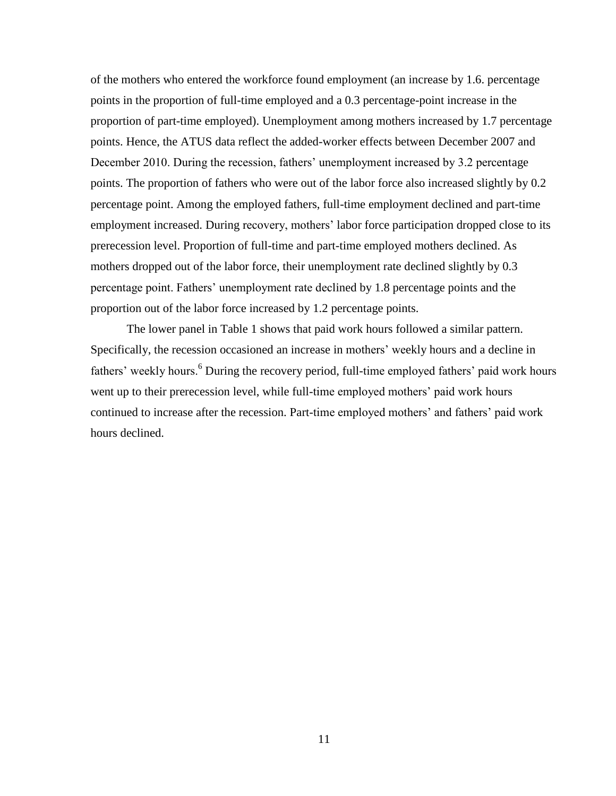of the mothers who entered the workforce found employment (an increase by 1.6. percentage points in the proportion of full-time employed and a 0.3 percentage-point increase in the proportion of part-time employed). Unemployment among mothers increased by 1.7 percentage points. Hence, the ATUS data reflect the added-worker effects between December 2007 and December 2010. During the recession, fathers' unemployment increased by 3.2 percentage points. The proportion of fathers who were out of the labor force also increased slightly by 0.2 percentage point. Among the employed fathers, full-time employment declined and part-time employment increased. During recovery, mothers' labor force participation dropped close to its prerecession level. Proportion of full-time and part-time employed mothers declined. As mothers dropped out of the labor force, their unemployment rate declined slightly by 0.3 percentage point. Fathers' unemployment rate declined by 1.8 percentage points and the proportion out of the labor force increased by 1.2 percentage points.

The lower panel in Table 1 shows that paid work hours followed a similar pattern. Specifically, the recession occasioned an increase in mothers' weekly hours and a decline in fathers' weekly hours.<sup>6</sup> During the recovery period, full-time employed fathers' paid work hours went up to their prerecession level, while full-time employed mothers' paid work hours continued to increase after the recession. Part-time employed mothers' and fathers' paid work hours declined.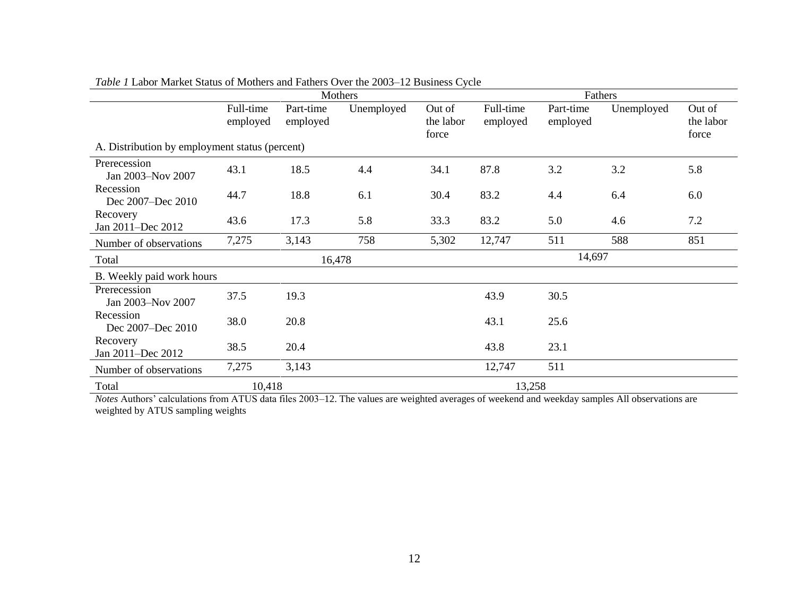|                                                | Mothers               |                       |            |                              | Fathers               |                       |            |                              |
|------------------------------------------------|-----------------------|-----------------------|------------|------------------------------|-----------------------|-----------------------|------------|------------------------------|
|                                                | Full-time<br>employed | Part-time<br>employed | Unemployed | Out of<br>the labor<br>force | Full-time<br>employed | Part-time<br>employed | Unemployed | Out of<br>the labor<br>force |
| A. Distribution by employment status (percent) |                       |                       |            |                              |                       |                       |            |                              |
| Prerecession<br>Jan 2003-Nov 2007              | 43.1                  | 18.5                  | 4.4        | 34.1                         | 87.8                  | 3.2                   | 3.2        | 5.8                          |
| Recession<br>Dec 2007-Dec 2010                 | 44.7                  | 18.8                  | 6.1        | 30.4                         | 83.2                  | 4.4                   | 6.4        | 6.0                          |
| Recovery<br>Jan 2011-Dec 2012                  | 43.6                  | 17.3                  | 5.8        | 33.3                         | 83.2                  | 5.0                   | 4.6        | 7.2                          |
| Number of observations                         | 7,275                 | 3,143                 | 758        | 5,302                        | 12,747                | 511                   | 588        | 851                          |
| Total                                          |                       | 16,478                |            |                              | 14,697                |                       |            |                              |
| B. Weekly paid work hours                      |                       |                       |            |                              |                       |                       |            |                              |
| Prerecession<br>Jan 2003-Nov 2007              | 37.5                  | 19.3                  |            |                              | 43.9                  | 30.5                  |            |                              |
| Recession<br>Dec 2007-Dec 2010                 | 38.0                  | 20.8                  |            |                              | 43.1                  | 25.6                  |            |                              |
| Recovery<br>Jan 2011-Dec 2012                  | 38.5                  | 20.4                  |            |                              | 43.8                  | 23.1                  |            |                              |
| Number of observations                         | 7,275                 | 3,143                 |            |                              | 12,747                | 511                   |            |                              |
| Total                                          | 10,418                |                       |            |                              | 13,258                |                       |            |                              |

*Table 1* Labor Market Status of Mothers and Fathers Over the 2003–12 Business Cycle

*Notes* Authors' calculations from ATUS data files 2003–12. The values are weighted averages of weekend and weekday samples All observations are weighted by ATUS sampling weights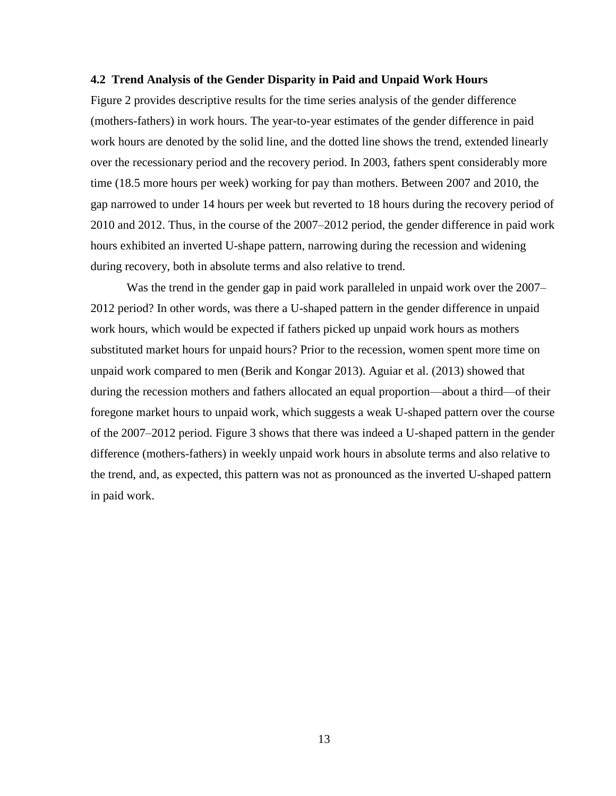#### **4.2 Trend Analysis of the Gender Disparity in Paid and Unpaid Work Hours**

Figure 2 provides descriptive results for the time series analysis of the gender difference (mothers-fathers) in work hours. The year-to-year estimates of the gender difference in paid work hours are denoted by the solid line, and the dotted line shows the trend, extended linearly over the recessionary period and the recovery period. In 2003, fathers spent considerably more time (18.5 more hours per week) working for pay than mothers. Between 2007 and 2010, the gap narrowed to under 14 hours per week but reverted to 18 hours during the recovery period of 2010 and 2012. Thus, in the course of the 2007–2012 period, the gender difference in paid work hours exhibited an inverted U-shape pattern, narrowing during the recession and widening during recovery, both in absolute terms and also relative to trend.

Was the trend in the gender gap in paid work paralleled in unpaid work over the 2007– 2012 period? In other words, was there a U-shaped pattern in the gender difference in unpaid work hours, which would be expected if fathers picked up unpaid work hours as mothers substituted market hours for unpaid hours? Prior to the recession, women spent more time on unpaid work compared to men (Berik and Kongar 2013). Aguiar et al. (2013) showed that during the recession mothers and fathers allocated an equal proportion—about a third—of their foregone market hours to unpaid work, which suggests a weak U-shaped pattern over the course of the 2007–2012 period. Figure 3 shows that there was indeed a U-shaped pattern in the gender difference (mothers-fathers) in weekly unpaid work hours in absolute terms and also relative to the trend, and, as expected, this pattern was not as pronounced as the inverted U-shaped pattern in paid work.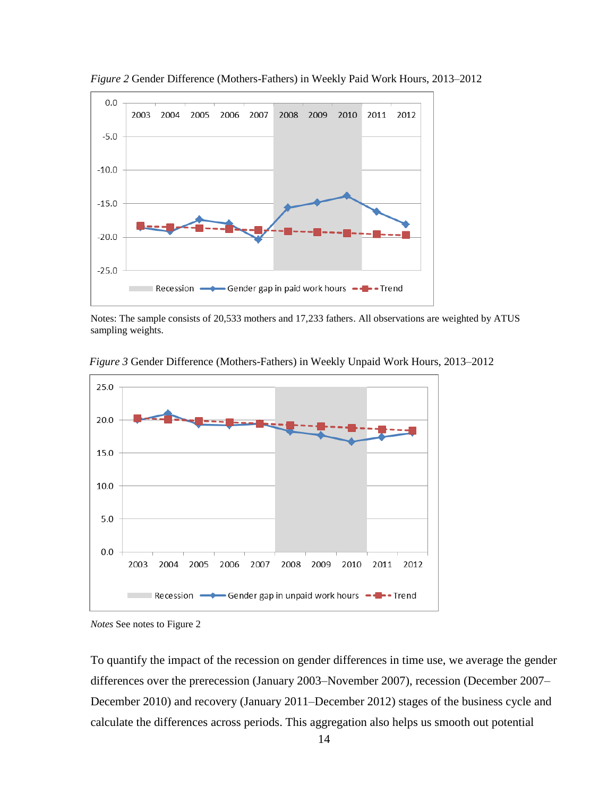

*Figure 2* Gender Difference (Mothers-Fathers) in Weekly Paid Work Hours, 2013–2012

Notes: The sample consists of 20,533 mothers and 17,233 fathers. All observations are weighted by ATUS sampling weights.

*Figure 3* Gender Difference (Mothers-Fathers) in Weekly Unpaid Work Hours, 2013–2012



*Notes* See notes to Figure 2

To quantify the impact of the recession on gender differences in time use, we average the gender differences over the prerecession (January 2003–November 2007), recession (December 2007– December 2010) and recovery (January 2011–December 2012) stages of the business cycle and calculate the differences across periods. This aggregation also helps us smooth out potential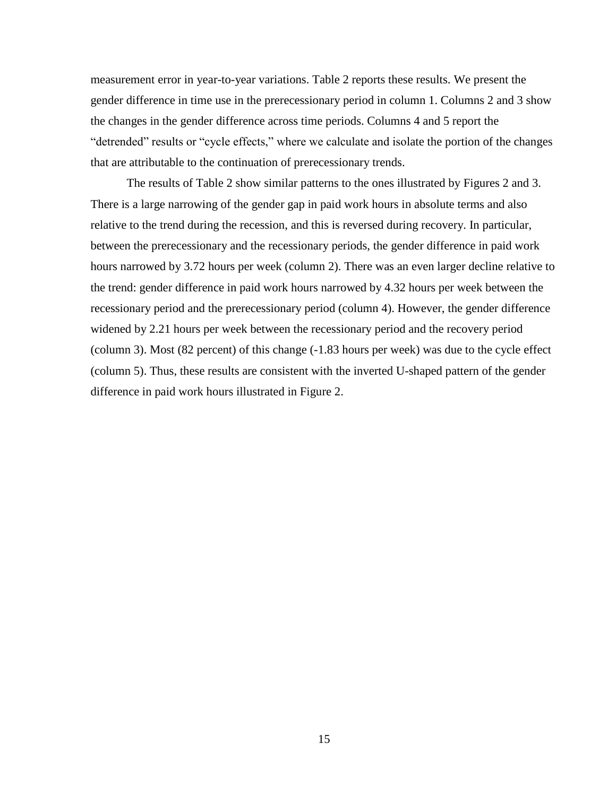measurement error in year-to-year variations. Table 2 reports these results. We present the gender difference in time use in the prerecessionary period in column 1. Columns 2 and 3 show the changes in the gender difference across time periods. Columns 4 and 5 report the "detrended" results or "cycle effects," where we calculate and isolate the portion of the changes that are attributable to the continuation of prerecessionary trends.

The results of Table 2 show similar patterns to the ones illustrated by Figures 2 and 3. There is a large narrowing of the gender gap in paid work hours in absolute terms and also relative to the trend during the recession, and this is reversed during recovery. In particular, between the prerecessionary and the recessionary periods, the gender difference in paid work hours narrowed by 3.72 hours per week (column 2). There was an even larger decline relative to the trend: gender difference in paid work hours narrowed by 4.32 hours per week between the recessionary period and the prerecessionary period (column 4). However, the gender difference widened by 2.21 hours per week between the recessionary period and the recovery period (column 3). Most (82 percent) of this change (-1.83 hours per week) was due to the cycle effect (column 5). Thus, these results are consistent with the inverted U-shaped pattern of the gender difference in paid work hours illustrated in Figure 2.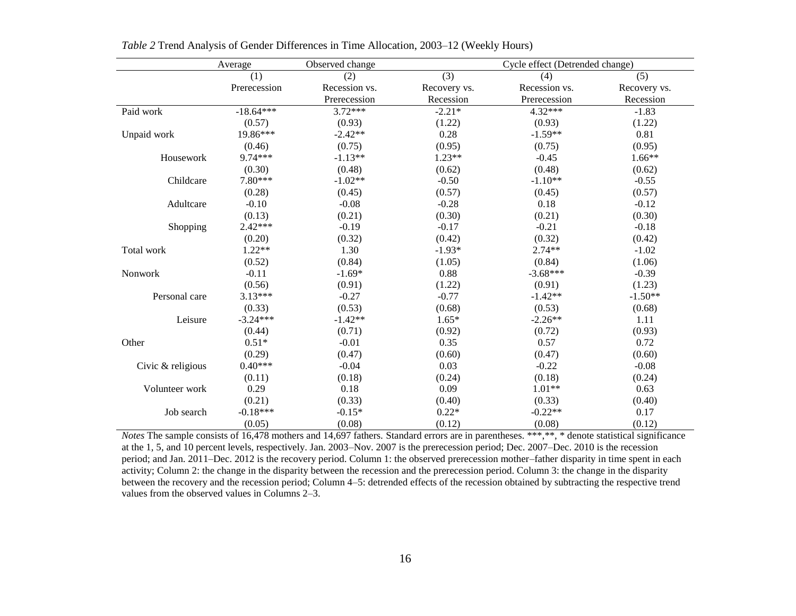|                   | Average      | Observed change | Cycle effect (Detrended change) |               |              |  |
|-------------------|--------------|-----------------|---------------------------------|---------------|--------------|--|
|                   | (1)          | (2)             | (3)                             | (4)           | (5)          |  |
|                   | Prerecession | Recession vs.   | Recovery vs.                    | Recession vs. | Recovery vs. |  |
|                   |              | Prerecession    | Recession                       | Prerecession  | Recession    |  |
| Paid work         | $-18.64***$  | $3.72***$       | $-2.21*$                        | 4.32***       | $-1.83$      |  |
|                   | (0.57)       | (0.93)          | (1.22)                          | (0.93)        | (1.22)       |  |
| Unpaid work       | 19.86***     | $-2.42**$       | 0.28                            | $-1.59**$     | 0.81         |  |
|                   | (0.46)       | (0.75)          | (0.95)                          | (0.75)        | (0.95)       |  |
| Housework         | 9.74***      | $-1.13**$       | $1.23**$                        | $-0.45$       | $1.66**$     |  |
|                   | (0.30)       | (0.48)          | (0.62)                          | (0.48)        | (0.62)       |  |
| Childcare         | 7.80***      | $-1.02**$       | $-0.50$                         | $-1.10**$     | $-0.55$      |  |
|                   | (0.28)       | (0.45)          | (0.57)                          | (0.45)        | (0.57)       |  |
| Adultcare         | $-0.10$      | $-0.08$         | $-0.28$                         | 0.18          | $-0.12$      |  |
|                   | (0.13)       | (0.21)          | (0.30)                          | (0.21)        | (0.30)       |  |
| Shopping          | $2.42***$    | $-0.19$         | $-0.17$                         | $-0.21$       | $-0.18$      |  |
|                   | (0.20)       | (0.32)          | (0.42)                          | (0.32)        | (0.42)       |  |
| Total work        | $1.22**$     | 1.30            | $-1.93*$                        | $2.74**$      | $-1.02$      |  |
|                   | (0.52)       | (0.84)          | (1.05)                          | (0.84)        | (1.06)       |  |
| Nonwork           | $-0.11$      | $-1.69*$        | 0.88                            | $-3.68***$    | $-0.39$      |  |
|                   | (0.56)       | (0.91)          | (1.22)                          | (0.91)        | (1.23)       |  |
| Personal care     | $3.13***$    | $-0.27$         | $-0.77$                         | $-1.42**$     | $-1.50**$    |  |
|                   | (0.33)       | (0.53)          | (0.68)                          | (0.53)        | (0.68)       |  |
| Leisure           | $-3.24***$   | $-1.42**$       | $1.65*$                         | $-2.26**$     | 1.11         |  |
|                   | (0.44)       | (0.71)          | (0.92)                          | (0.72)        | (0.93)       |  |
| Other             | $0.51*$      | $-0.01$         | 0.35                            | 0.57          | 0.72         |  |
|                   | (0.29)       | (0.47)          | (0.60)                          | (0.47)        | (0.60)       |  |
| Civic & religious | $0.40***$    | $-0.04$         | 0.03                            | $-0.22$       | $-0.08$      |  |
|                   | (0.11)       | (0.18)          | (0.24)                          | (0.18)        | (0.24)       |  |
| Volunteer work    | 0.29         | 0.18            | 0.09                            | $1.01**$      | 0.63         |  |
|                   | (0.21)       | (0.33)          | (0.40)                          | (0.33)        | (0.40)       |  |
| Job search        | $-0.18***$   | $-0.15*$        | $0.22*$                         | $-0.22**$     | 0.17         |  |
|                   | (0.05)       | (0.08)          | (0.12)                          | (0.08)        | (0.12)       |  |

*Table 2* Trend Analysis of Gender Differences in Time Allocation, 2003–12 (Weekly Hours)

*Notes* The sample consists of 16,478 mothers and 14,697 fathers. Standard errors are in parentheses. \*\*\*,\*\*, \* denote statistical significance at the 1, 5, and 10 percent levels, respectively. Jan. 2003–Nov. 2007 is the prerecession period; Dec. 2007–Dec. 2010 is the recession period; and Jan. 2011–Dec. 2012 is the recovery period. Column 1: the observed prerecession mother–father disparity in time spent in each activity; Column 2: the change in the disparity between the recession and the prerecession period. Column 3: the change in the disparity between the recovery and the recession period; Column 4–5: detrended effects of the recession obtained by subtracting the respective trend values from the observed values in Columns 2–3.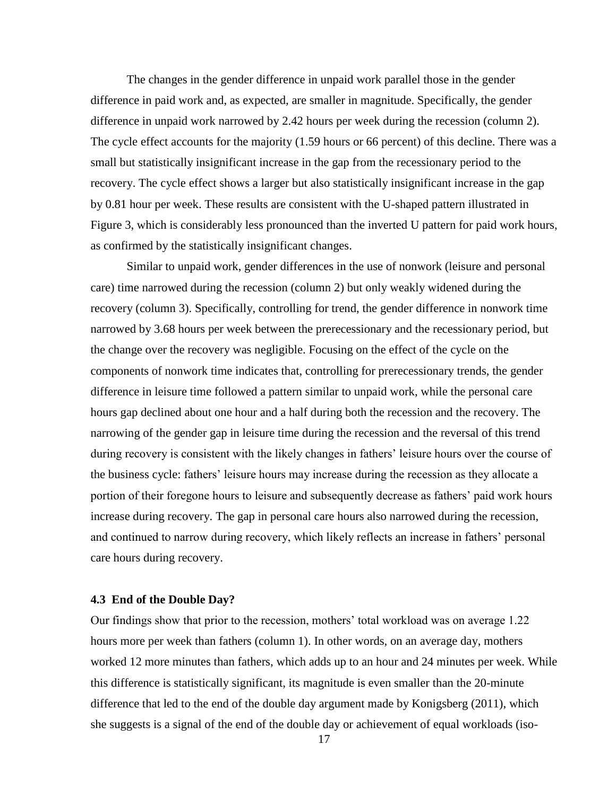The changes in the gender difference in unpaid work parallel those in the gender difference in paid work and, as expected, are smaller in magnitude. Specifically, the gender difference in unpaid work narrowed by 2.42 hours per week during the recession (column 2). The cycle effect accounts for the majority (1.59 hours or 66 percent) of this decline. There was a small but statistically insignificant increase in the gap from the recessionary period to the recovery. The cycle effect shows a larger but also statistically insignificant increase in the gap by 0.81 hour per week. These results are consistent with the U-shaped pattern illustrated in Figure 3, which is considerably less pronounced than the inverted U pattern for paid work hours, as confirmed by the statistically insignificant changes.

Similar to unpaid work, gender differences in the use of nonwork (leisure and personal care) time narrowed during the recession (column 2) but only weakly widened during the recovery (column 3). Specifically, controlling for trend, the gender difference in nonwork time narrowed by 3.68 hours per week between the prerecessionary and the recessionary period, but the change over the recovery was negligible. Focusing on the effect of the cycle on the components of nonwork time indicates that, controlling for prerecessionary trends, the gender difference in leisure time followed a pattern similar to unpaid work, while the personal care hours gap declined about one hour and a half during both the recession and the recovery. The narrowing of the gender gap in leisure time during the recession and the reversal of this trend during recovery is consistent with the likely changes in fathers' leisure hours over the course of the business cycle: fathers' leisure hours may increase during the recession as they allocate a portion of their foregone hours to leisure and subsequently decrease as fathers' paid work hours increase during recovery. The gap in personal care hours also narrowed during the recession, and continued to narrow during recovery, which likely reflects an increase in fathers' personal care hours during recovery.

## **4.3 End of the Double Day?**

Our findings show that prior to the recession, mothers' total workload was on average 1.22 hours more per week than fathers (column 1). In other words, on an average day, mothers worked 12 more minutes than fathers, which adds up to an hour and 24 minutes per week. While this difference is statistically significant, its magnitude is even smaller than the 20-minute difference that led to the end of the double day argument made by Konigsberg (2011), which she suggests is a signal of the end of the double day or achievement of equal workloads (iso-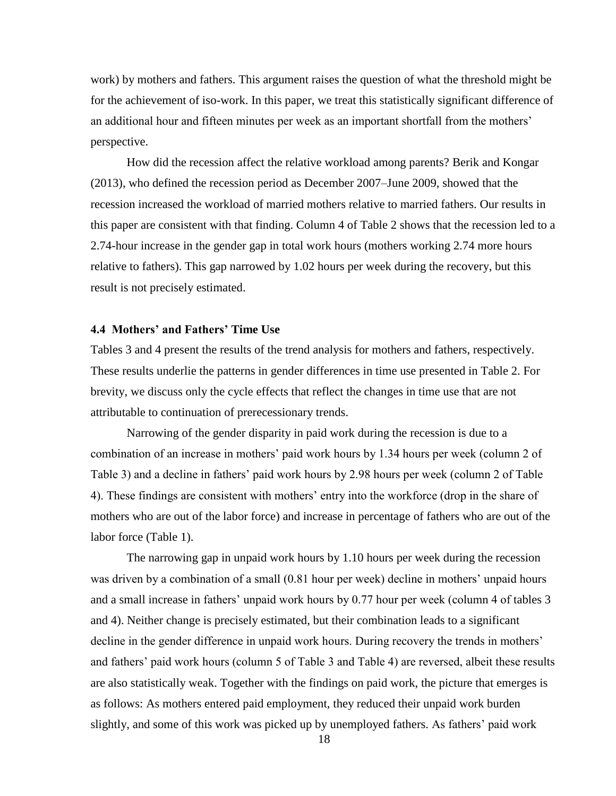work) by mothers and fathers. This argument raises the question of what the threshold might be for the achievement of iso-work. In this paper, we treat this statistically significant difference of an additional hour and fifteen minutes per week as an important shortfall from the mothers' perspective.

How did the recession affect the relative workload among parents? Berik and Kongar (2013), who defined the recession period as December 2007–June 2009, showed that the recession increased the workload of married mothers relative to married fathers. Our results in this paper are consistent with that finding. Column 4 of Table 2 shows that the recession led to a 2.74-hour increase in the gender gap in total work hours (mothers working 2.74 more hours relative to fathers). This gap narrowed by 1.02 hours per week during the recovery, but this result is not precisely estimated.

# **4.4 Mothers' and Fathers' Time Use**

Tables 3 and 4 present the results of the trend analysis for mothers and fathers, respectively. These results underlie the patterns in gender differences in time use presented in Table 2. For brevity, we discuss only the cycle effects that reflect the changes in time use that are not attributable to continuation of prerecessionary trends.

Narrowing of the gender disparity in paid work during the recession is due to a combination of an increase in mothers' paid work hours by 1.34 hours per week (column 2 of Table 3) and a decline in fathers' paid work hours by 2.98 hours per week (column 2 of Table 4). These findings are consistent with mothers' entry into the workforce (drop in the share of mothers who are out of the labor force) and increase in percentage of fathers who are out of the labor force (Table 1).

The narrowing gap in unpaid work hours by 1.10 hours per week during the recession was driven by a combination of a small  $(0.81)$  hour per week) decline in mothers' unpaid hours and a small increase in fathers' unpaid work hours by 0.77 hour per week (column 4 of tables 3 and 4). Neither change is precisely estimated, but their combination leads to a significant decline in the gender difference in unpaid work hours. During recovery the trends in mothers' and fathers' paid work hours (column 5 of Table 3 and Table 4) are reversed, albeit these results are also statistically weak. Together with the findings on paid work, the picture that emerges is as follows: As mothers entered paid employment, they reduced their unpaid work burden slightly, and some of this work was picked up by unemployed fathers. As fathers' paid work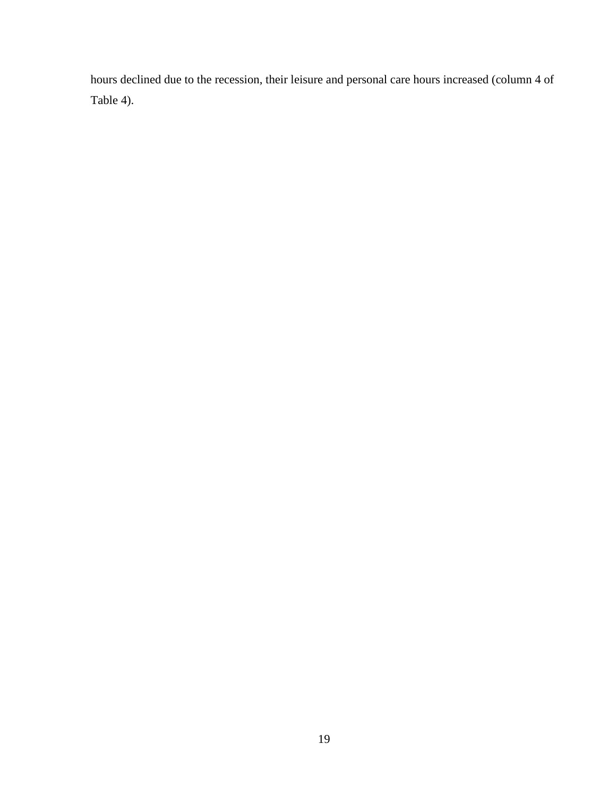hours declined due to the recession, their leisure and personal care hours increased (column 4 of Table 4).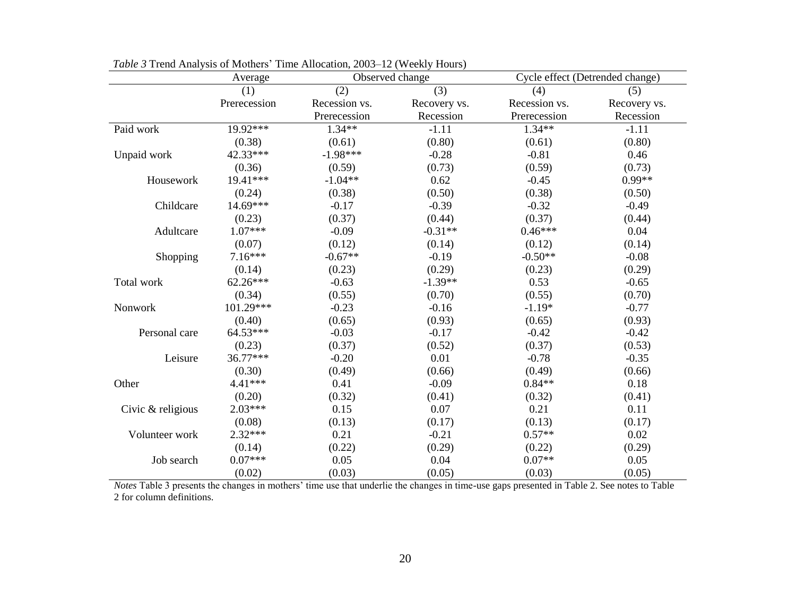|                   | Average      | Observed change |              | Cycle effect (Detrended change) |              |
|-------------------|--------------|-----------------|--------------|---------------------------------|--------------|
|                   | (1)          | (2)             | (3)          | (4)                             | (5)          |
|                   | Prerecession | Recession vs.   | Recovery vs. | Recession vs.                   | Recovery vs. |
|                   |              | Prerecession    | Recession    | Prerecession                    | Recession    |
| Paid work         | 19.92***     | $1.34**$        | $-1.11$      | $1.34**$                        | $-1.11$      |
|                   | (0.38)       | (0.61)          | (0.80)       | (0.61)                          | (0.80)       |
| Unpaid work       | 42.33***     | $-1.98***$      | $-0.28$      | $-0.81$                         | 0.46         |
|                   | (0.36)       | (0.59)          | (0.73)       | (0.59)                          | (0.73)       |
| Housework         | 19.41***     | $-1.04**$       | 0.62         | $-0.45$                         | $0.99**$     |
|                   | (0.24)       | (0.38)          | (0.50)       | (0.38)                          | (0.50)       |
| Childcare         | 14.69***     | $-0.17$         | $-0.39$      | $-0.32$                         | $-0.49$      |
|                   | (0.23)       | (0.37)          | (0.44)       | (0.37)                          | (0.44)       |
| Adultcare         | $1.07***$    | $-0.09$         | $-0.31**$    | $0.46***$                       | 0.04         |
|                   | (0.07)       | (0.12)          | (0.14)       | (0.12)                          | (0.14)       |
| Shopping          | $7.16***$    | $-0.67**$       | $-0.19$      | $-0.50**$                       | $-0.08$      |
|                   | (0.14)       | (0.23)          | (0.29)       | (0.23)                          | (0.29)       |
| Total work        | $62.26***$   | $-0.63$         | $-1.39**$    | 0.53                            | $-0.65$      |
|                   | (0.34)       | (0.55)          | (0.70)       | (0.55)                          | (0.70)       |
| Nonwork           | 101.29***    | $-0.23$         | $-0.16$      | $-1.19*$                        | $-0.77$      |
|                   | (0.40)       | (0.65)          | (0.93)       | (0.65)                          | (0.93)       |
| Personal care     | 64.53***     | $-0.03$         | $-0.17$      | $-0.42$                         | $-0.42$      |
|                   | (0.23)       | (0.37)          | (0.52)       | (0.37)                          | (0.53)       |
| Leisure           | 36.77***     | $-0.20$         | 0.01         | $-0.78$                         | $-0.35$      |
|                   | (0.30)       | (0.49)          | (0.66)       | (0.49)                          | (0.66)       |
| Other             | $4.41***$    | 0.41            | $-0.09$      | $0.84**$                        | 0.18         |
|                   | (0.20)       | (0.32)          | (0.41)       | (0.32)                          | (0.41)       |
| Civic & religious | $2.03***$    | 0.15            | 0.07         | 0.21                            | 0.11         |
|                   | (0.08)       | (0.13)          | (0.17)       | (0.13)                          | (0.17)       |
| Volunteer work    | $2.32***$    | 0.21            | $-0.21$      | $0.57**$                        | 0.02         |
|                   | (0.14)       | (0.22)          | (0.29)       | (0.22)                          | (0.29)       |
| Job search        | $0.07***$    | 0.05            | 0.04         | $0.07**$                        | 0.05         |
|                   | (0.02)       | (0.03)          | (0.05)       | (0.03)                          | (0.05)       |

*Table 3* Trend Analysis of Mothers' Time Allocation, 2003–12 (Weekly Hours)

*Notes* Table 3 presents the changes in mothers' time use that underlie the changes in time-use gaps presented in Table 2. See notes to Table 2 for column definitions.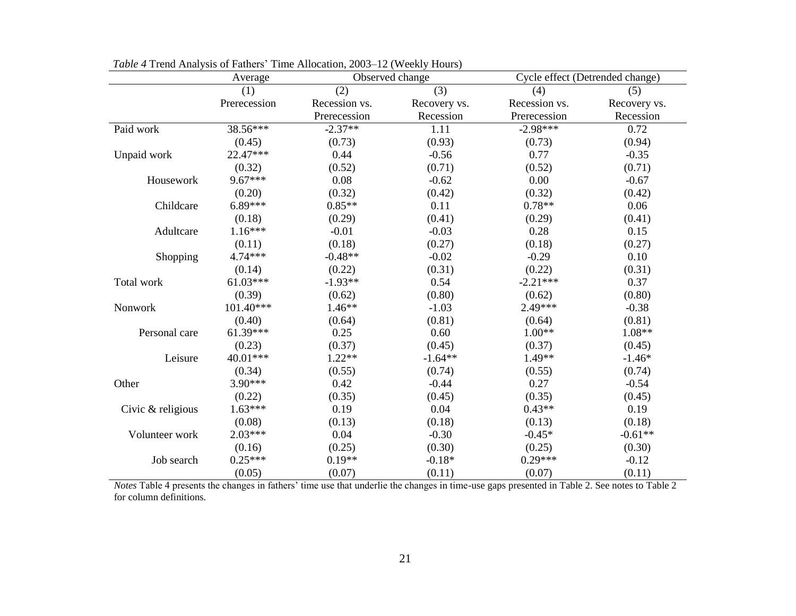|                   | Average      | Observed change |              | Cycle effect (Detrended change) |              |
|-------------------|--------------|-----------------|--------------|---------------------------------|--------------|
|                   | (1)          | (2)             | (3)          | (4)                             | (5)          |
|                   | Prerecession | Recession vs.   | Recovery vs. | Recession vs.                   | Recovery vs. |
|                   |              | Prerecession    | Recession    | Prerecession                    | Recession    |
| Paid work         | 38.56***     | $-2.37**$       | 1.11         | $-2.98***$                      | 0.72         |
|                   | (0.45)       | (0.73)          | (0.93)       | (0.73)                          | (0.94)       |
| Unpaid work       | 22.47***     | 0.44            | $-0.56$      | 0.77                            | $-0.35$      |
|                   | (0.32)       | (0.52)          | (0.71)       | (0.52)                          | (0.71)       |
| Housework         | $9.67***$    | 0.08            | $-0.62$      | 0.00                            | $-0.67$      |
|                   | (0.20)       | (0.32)          | (0.42)       | (0.32)                          | (0.42)       |
| Childcare         | $6.89***$    | $0.85**$        | 0.11         | $0.78**$                        | 0.06         |
|                   | (0.18)       | (0.29)          | (0.41)       | (0.29)                          | (0.41)       |
| Adultcare         | $1.16***$    | $-0.01$         | $-0.03$      | 0.28                            | 0.15         |
|                   | (0.11)       | (0.18)          | (0.27)       | (0.18)                          | (0.27)       |
| Shopping          | 4.74***      | $-0.48**$       | $-0.02$      | $-0.29$                         | 0.10         |
|                   | (0.14)       | (0.22)          | (0.31)       | (0.22)                          | (0.31)       |
| Total work        | $61.03***$   | $-1.93**$       | 0.54         | $-2.21***$                      | 0.37         |
|                   | (0.39)       | (0.62)          | (0.80)       | (0.62)                          | (0.80)       |
| Nonwork           | 101.40***    | $1.46**$        | $-1.03$      | 2.49***                         | $-0.38$      |
|                   | (0.40)       | (0.64)          | (0.81)       | (0.64)                          | (0.81)       |
| Personal care     | $61.39***$   | 0.25            | 0.60         | $1.00**$                        | $1.08**$     |
|                   | (0.23)       | (0.37)          | (0.45)       | (0.37)                          | (0.45)       |
| Leisure           | 40.01***     | $1.22**$        | $-1.64**$    | 1.49**                          | $-1.46*$     |
|                   | (0.34)       | (0.55)          | (0.74)       | (0.55)                          | (0.74)       |
| Other             | $3.90***$    | 0.42            | $-0.44$      | 0.27                            | $-0.54$      |
|                   | (0.22)       | (0.35)          | (0.45)       | (0.35)                          | (0.45)       |
| Civic & religious | $1.63***$    | 0.19            | 0.04         | $0.43**$                        | 0.19         |
|                   | (0.08)       | (0.13)          | (0.18)       | (0.13)                          | (0.18)       |
| Volunteer work    | $2.03***$    | 0.04            | $-0.30$      | $-0.45*$                        | $-0.61**$    |
|                   | (0.16)       | (0.25)          | (0.30)       | (0.25)                          | (0.30)       |
| Job search        | $0.25***$    | $0.19**$        | $-0.18*$     | $0.29***$                       | $-0.12$      |
|                   | (0.05)       | (0.07)          | (0.11)       | (0.07)                          | (0.11)       |

*Table 4* Trend Analysis of Fathers' Time Allocation, 2003–12 (Weekly Hours)

*Notes* Table 4 presents the changes in fathers' time use that underlie the changes in time-use gaps presented in Table 2. See notes to Table 2 for column definitions.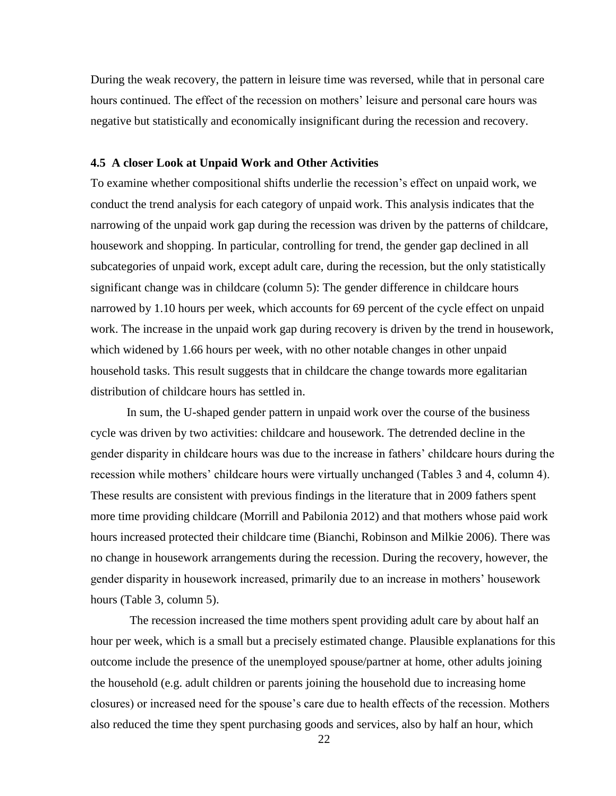During the weak recovery, the pattern in leisure time was reversed, while that in personal care hours continued. The effect of the recession on mothers' leisure and personal care hours was negative but statistically and economically insignificant during the recession and recovery.

#### **4.5 A closer Look at Unpaid Work and Other Activities**

To examine whether compositional shifts underlie the recession's effect on unpaid work, we conduct the trend analysis for each category of unpaid work. This analysis indicates that the narrowing of the unpaid work gap during the recession was driven by the patterns of childcare, housework and shopping. In particular, controlling for trend, the gender gap declined in all subcategories of unpaid work, except adult care, during the recession, but the only statistically significant change was in childcare (column 5): The gender difference in childcare hours narrowed by 1.10 hours per week, which accounts for 69 percent of the cycle effect on unpaid work. The increase in the unpaid work gap during recovery is driven by the trend in housework, which widened by 1.66 hours per week, with no other notable changes in other unpaid household tasks. This result suggests that in childcare the change towards more egalitarian distribution of childcare hours has settled in.

In sum, the U-shaped gender pattern in unpaid work over the course of the business cycle was driven by two activities: childcare and housework. The detrended decline in the gender disparity in childcare hours was due to the increase in fathers' childcare hours during the recession while mothers' childcare hours were virtually unchanged (Tables 3 and 4, column 4). These results are consistent with previous findings in the literature that in 2009 fathers spent more time providing childcare (Morrill and Pabilonia 2012) and that mothers whose paid work hours increased protected their childcare time (Bianchi, Robinson and Milkie 2006). There was no change in housework arrangements during the recession. During the recovery, however, the gender disparity in housework increased, primarily due to an increase in mothers' housework hours (Table 3, column 5).

The recession increased the time mothers spent providing adult care by about half an hour per week, which is a small but a precisely estimated change. Plausible explanations for this outcome include the presence of the unemployed spouse/partner at home, other adults joining the household (e.g. adult children or parents joining the household due to increasing home closures) or increased need for the spouse's care due to health effects of the recession. Mothers also reduced the time they spent purchasing goods and services, also by half an hour, which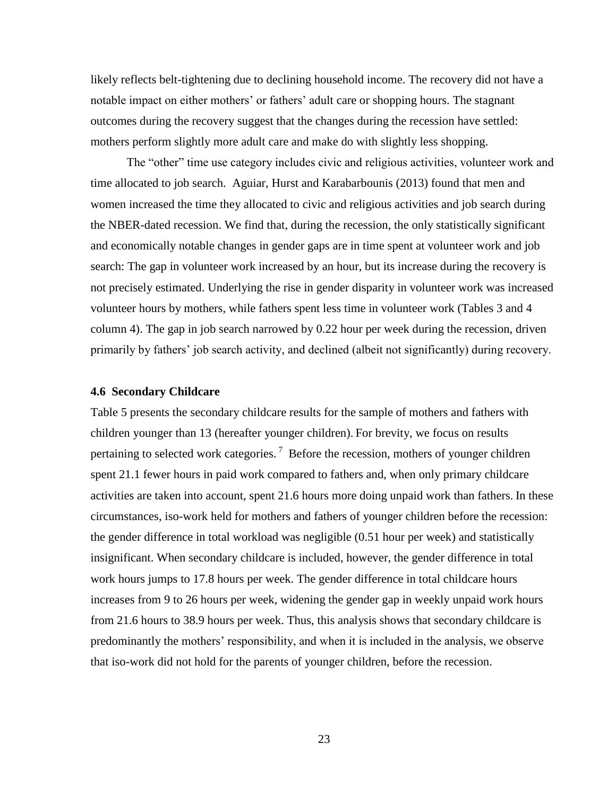likely reflects belt-tightening due to declining household income. The recovery did not have a notable impact on either mothers' or fathers' adult care or shopping hours. The stagnant outcomes during the recovery suggest that the changes during the recession have settled: mothers perform slightly more adult care and make do with slightly less shopping.

The "other" time use category includes civic and religious activities, volunteer work and time allocated to job search. Aguiar, Hurst and Karabarbounis (2013) found that men and women increased the time they allocated to civic and religious activities and job search during the NBER-dated recession. We find that, during the recession, the only statistically significant and economically notable changes in gender gaps are in time spent at volunteer work and job search: The gap in volunteer work increased by an hour, but its increase during the recovery is not precisely estimated. Underlying the rise in gender disparity in volunteer work was increased volunteer hours by mothers, while fathers spent less time in volunteer work (Tables 3 and 4 column 4). The gap in job search narrowed by 0.22 hour per week during the recession, driven primarily by fathers' job search activity, and declined (albeit not significantly) during recovery.

#### **4.6 Secondary Childcare**

Table 5 presents the secondary childcare results for the sample of mothers and fathers with children younger than 13 (hereafter younger children). For brevity, we focus on results pertaining to selected work categories.<sup>7</sup> Before the recession, mothers of younger children spent 21.1 fewer hours in paid work compared to fathers and, when only primary childcare activities are taken into account, spent 21.6 hours more doing unpaid work than fathers. In these circumstances, iso-work held for mothers and fathers of younger children before the recession: the gender difference in total workload was negligible (0.51 hour per week) and statistically insignificant. When secondary childcare is included, however, the gender difference in total work hours jumps to 17.8 hours per week. The gender difference in total childcare hours increases from 9 to 26 hours per week, widening the gender gap in weekly unpaid work hours from 21.6 hours to 38.9 hours per week. Thus, this analysis shows that secondary childcare is predominantly the mothers' responsibility, and when it is included in the analysis, we observe that iso-work did not hold for the parents of younger children, before the recession.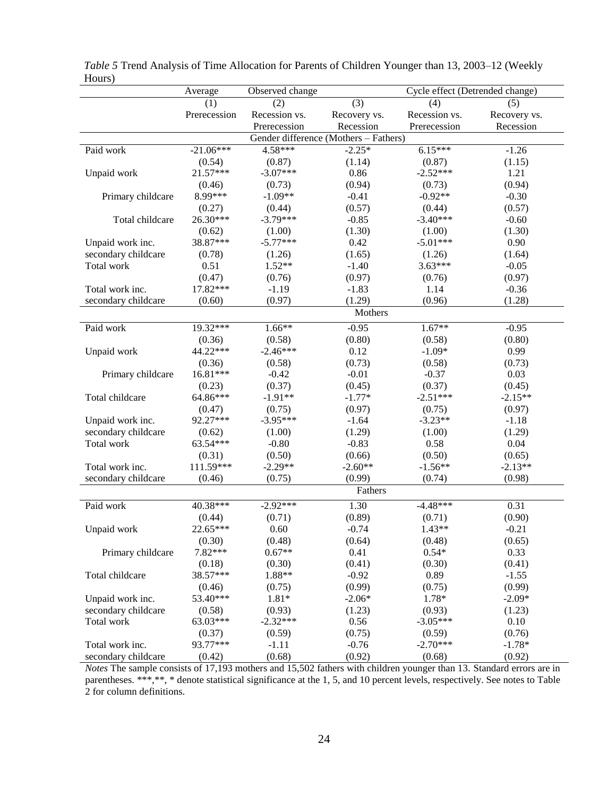|                                       | Average      | Observed change<br>Cycle effect (Detrended change) |              |               |              |  |  |
|---------------------------------------|--------------|----------------------------------------------------|--------------|---------------|--------------|--|--|
|                                       | (1)          | (2)                                                | (3)          | (4)           | (5)          |  |  |
|                                       | Prerecession | Recession vs.                                      | Recovery vs. | Recession vs. | Recovery vs. |  |  |
|                                       |              | Prerecession                                       | Recession    | Prerecession  | Recession    |  |  |
| Gender difference (Mothers - Fathers) |              |                                                    |              |               |              |  |  |
| Paid work                             | $-21.06***$  | 4.58***                                            | $-2.25*$     | $6.15***$     | $-1.26$      |  |  |
|                                       | (0.54)       | (0.87)                                             | (1.14)       | (0.87)        | (1.15)       |  |  |
| Unpaid work                           | 21.57***     | $-3.07***$                                         | 0.86         | $-2.52***$    | 1.21         |  |  |
|                                       | (0.46)       | (0.73)                                             | (0.94)       | (0.73)        | (0.94)       |  |  |
| Primary childcare                     | 8.99***      | $-1.09**$                                          | $-0.41$      | $-0.92**$     | $-0.30$      |  |  |
|                                       | (0.27)       | (0.44)                                             | (0.57)       | (0.44)        | (0.57)       |  |  |
| Total childcare                       | 26.30***     | $-3.79***$                                         | $-0.85$      | $-3.40***$    | $-0.60$      |  |  |
|                                       | (0.62)       | (1.00)                                             | (1.30)       | (1.00)        | (1.30)       |  |  |
| Unpaid work inc.                      | 38.87***     | $-5.77***$                                         | 0.42         | $-5.01***$    | 0.90         |  |  |
| secondary childcare                   | (0.78)       | (1.26)                                             | (1.65)       | (1.26)        | (1.64)       |  |  |
| Total work                            | 0.51         | $1.52**$                                           | $-1.40$      | $3.63***$     | $-0.05$      |  |  |
|                                       | (0.47)       | (0.76)                                             | (0.97)       | (0.76)        | (0.97)       |  |  |
| Total work inc.                       | 17.82***     | $-1.19$                                            | $-1.83$      | 1.14          | $-0.36$      |  |  |
| secondary childcare                   | (0.60)       | (0.97)                                             | (1.29)       | (0.96)        | (1.28)       |  |  |
|                                       |              |                                                    | Mothers      |               |              |  |  |
|                                       |              |                                                    |              |               |              |  |  |
| Paid work                             | 19.32***     | $1.66**$                                           | $-0.95$      | $1.67**$      | $-0.95$      |  |  |
|                                       | (0.36)       | (0.58)                                             | (0.80)       | (0.58)        | (0.80)       |  |  |
| Unpaid work                           | 44.22***     | $-2.46***$                                         | 0.12         | $-1.09*$      | 0.99         |  |  |
|                                       | (0.36)       | (0.58)                                             | (0.73)       | (0.58)        | (0.73)       |  |  |
| Primary childcare                     | 16.81***     | $-0.42$                                            | $-0.01$      | $-0.37$       | 0.03         |  |  |
|                                       | (0.23)       | (0.37)                                             | (0.45)       | (0.37)        | (0.45)       |  |  |
| Total childcare                       | 64.86***     | $-1.91**$                                          | $-1.77*$     | $-2.51***$    | $-2.15**$    |  |  |
|                                       | (0.47)       | (0.75)                                             | (0.97)       | (0.75)        | (0.97)       |  |  |
| Unpaid work inc.                      | 92.27***     | $-3.95***$                                         | $-1.64$      | $-3.23**$     | $-1.18$      |  |  |
| secondary childcare                   | (0.62)       | (1.00)                                             | (1.29)       | (1.00)        | (1.29)       |  |  |
| Total work                            | 63.54***     | $-0.80$                                            | $-0.83$      | 0.58          | 0.04         |  |  |
|                                       | (0.31)       | (0.50)                                             | (0.66)       | (0.50)        | (0.65)       |  |  |
| Total work inc.                       | 111.59***    | $-2.29**$                                          | $-2.60**$    | $-1.56**$     | $-2.13**$    |  |  |
| secondary childcare                   | (0.46)       | (0.75)                                             | (0.99)       | (0.74)        | (0.98)       |  |  |
|                                       |              |                                                    | Fathers      |               |              |  |  |
| Paid work                             | 40.38***     | $-2.92***$                                         | 1.30         | $-4.48***$    | 0.31         |  |  |
|                                       | (0.44)       | (0.71)                                             | (0.89)       | (0.71)        | (0.90)       |  |  |
| Unpaid work                           | 22.65***     | 0.60                                               | $-0.74$      | $1.43**$      | $-0.21$      |  |  |
|                                       | (0.30)       | (0.48)                                             | (0.64)       | (0.48)        | (0.65)       |  |  |
| Primary childcare                     | 7.82***      | $0.67**$                                           | 0.41         | $0.54*$       | 0.33         |  |  |
|                                       | (0.18)       | (0.30)                                             | (0.41)       | (0.30)        | (0.41)       |  |  |
| Total childcare                       | 38.57***     | 1.88**                                             | $-0.92$      | 0.89          | $-1.55$      |  |  |
|                                       | (0.46)       | (0.75)                                             | (0.99)       | (0.75)        | (0.99)       |  |  |
| Unpaid work inc.                      | 53.40***     | $1.81*$                                            | $-2.06*$     | 1.78*         | $-2.09*$     |  |  |
| secondary childcare                   | (0.58)       | (0.93)                                             | (1.23)       | (0.93)        | (1.23)       |  |  |
| Total work                            | 63.03***     | $-2.32***$                                         | 0.56         | $-3.05***$    | 0.10         |  |  |
|                                       | (0.37)       | (0.59)                                             | (0.75)       | (0.59)        | (0.76)       |  |  |
| Total work inc.                       | 93.77***     | $-1.11$                                            | $-0.76$      | $-2.70***$    | $-1.78*$     |  |  |
| secondary childcare                   | (0.42)       | (0.68)                                             | (0.92)       | (0.68)        | (0.92)       |  |  |

| Table 5 Trend Analysis of Time Allocation for Parents of Children Younger than 13, 2003–12 (Weekly |  |  |
|----------------------------------------------------------------------------------------------------|--|--|
| Hours)                                                                                             |  |  |

*Notes* The sample consists of 17,193 mothers and 15,502 fathers with children younger than 13. Standard errors are in parentheses. \*\*\*,\*\*, \* denote statistical significance at the 1, 5, and 10 percent levels, respectively. See notes to Table 2 for column definitions.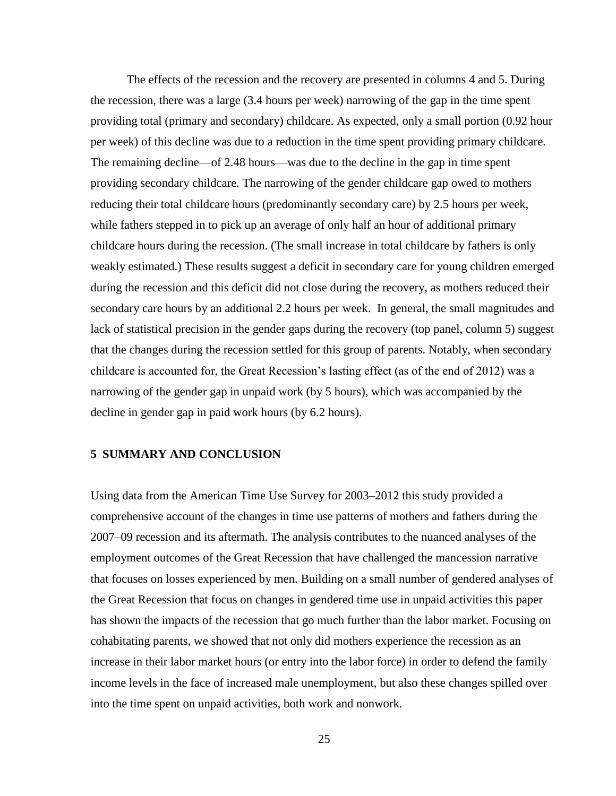The effects of the recession and the recovery are presented in columns 4 and 5. During the recession, there was a large (3.4 hours per week) narrowing of the gap in the time spent providing total (primary and secondary) childcare. As expected, only a small portion (0.92 hour per week) of this decline was due to a reduction in the time spent providing primary childcare. The remaining decline—of 2.48 hours—was due to the decline in the gap in time spent providing secondary childcare. The narrowing of the gender childcare gap owed to mothers reducing their total childcare hours (predominantly secondary care) by 2.5 hours per week, while fathers stepped in to pick up an average of only half an hour of additional primary childcare hours during the recession. (The small increase in total childcare by fathers is only weakly estimated.) These results suggest a deficit in secondary care for young children emerged during the recession and this deficit did not close during the recovery, as mothers reduced their secondary care hours by an additional 2.2 hours per week. In general, the small magnitudes and lack of statistical precision in the gender gaps during the recovery (top panel, column 5) suggest that the changes during the recession settled for this group of parents. Notably, when secondary childcare is accounted for, the Great Recession's lasting effect (as of the end of 2012) was a narrowing of the gender gap in unpaid work (by 5 hours), which was accompanied by the decline in gender gap in paid work hours (by 6.2 hours).

# **5 SUMMARY AND CONCLUSION**

Using data from the American Time Use Survey for 2003–2012 this study provided a comprehensive account of the changes in time use patterns of mothers and fathers during the 2007–09 recession and its aftermath. The analysis contributes to the nuanced analyses of the employment outcomes of the Great Recession that have challenged the mancession narrative that focuses on losses experienced by men. Building on a small number of gendered analyses of the Great Recession that focus on changes in gendered time use in unpaid activities this paper has shown the impacts of the recession that go much further than the labor market. Focusing on cohabitating parents, we showed that not only did mothers experience the recession as an increase in their labor market hours (or entry into the labor force) in order to defend the family income levels in the face of increased male unemployment, but also these changes spilled over into the time spent on unpaid activities, both work and nonwork.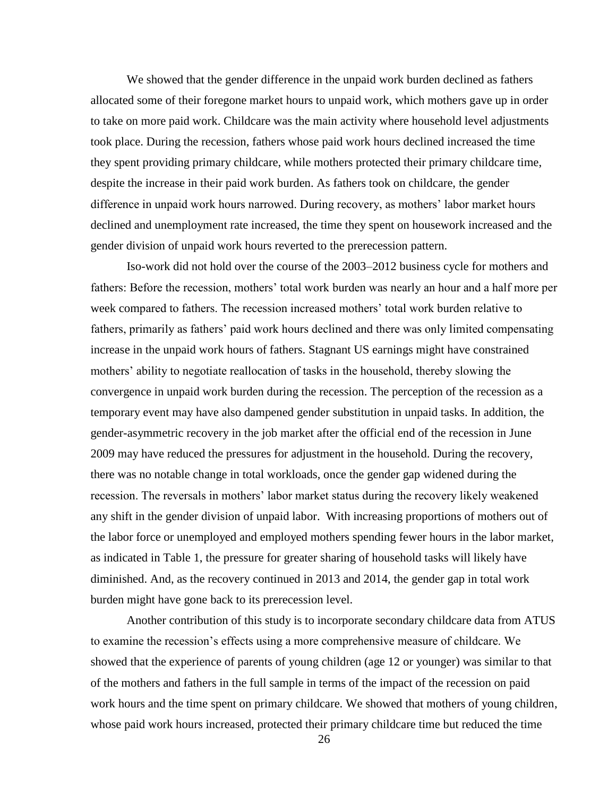We showed that the gender difference in the unpaid work burden declined as fathers allocated some of their foregone market hours to unpaid work, which mothers gave up in order to take on more paid work. Childcare was the main activity where household level adjustments took place. During the recession, fathers whose paid work hours declined increased the time they spent providing primary childcare, while mothers protected their primary childcare time, despite the increase in their paid work burden. As fathers took on childcare, the gender difference in unpaid work hours narrowed. During recovery, as mothers' labor market hours declined and unemployment rate increased, the time they spent on housework increased and the gender division of unpaid work hours reverted to the prerecession pattern.

Iso-work did not hold over the course of the 2003–2012 business cycle for mothers and fathers: Before the recession, mothers' total work burden was nearly an hour and a half more per week compared to fathers. The recession increased mothers' total work burden relative to fathers, primarily as fathers' paid work hours declined and there was only limited compensating increase in the unpaid work hours of fathers. Stagnant US earnings might have constrained mothers' ability to negotiate reallocation of tasks in the household, thereby slowing the convergence in unpaid work burden during the recession. The perception of the recession as a temporary event may have also dampened gender substitution in unpaid tasks. In addition, the gender-asymmetric recovery in the job market after the official end of the recession in June 2009 may have reduced the pressures for adjustment in the household. During the recovery, there was no notable change in total workloads, once the gender gap widened during the recession. The reversals in mothers' labor market status during the recovery likely weakened any shift in the gender division of unpaid labor. With increasing proportions of mothers out of the labor force or unemployed and employed mothers spending fewer hours in the labor market, as indicated in Table 1, the pressure for greater sharing of household tasks will likely have diminished. And, as the recovery continued in 2013 and 2014, the gender gap in total work burden might have gone back to its prerecession level.

Another contribution of this study is to incorporate secondary childcare data from ATUS to examine the recession's effects using a more comprehensive measure of childcare. We showed that the experience of parents of young children (age 12 or younger) was similar to that of the mothers and fathers in the full sample in terms of the impact of the recession on paid work hours and the time spent on primary childcare. We showed that mothers of young children, whose paid work hours increased, protected their primary childcare time but reduced the time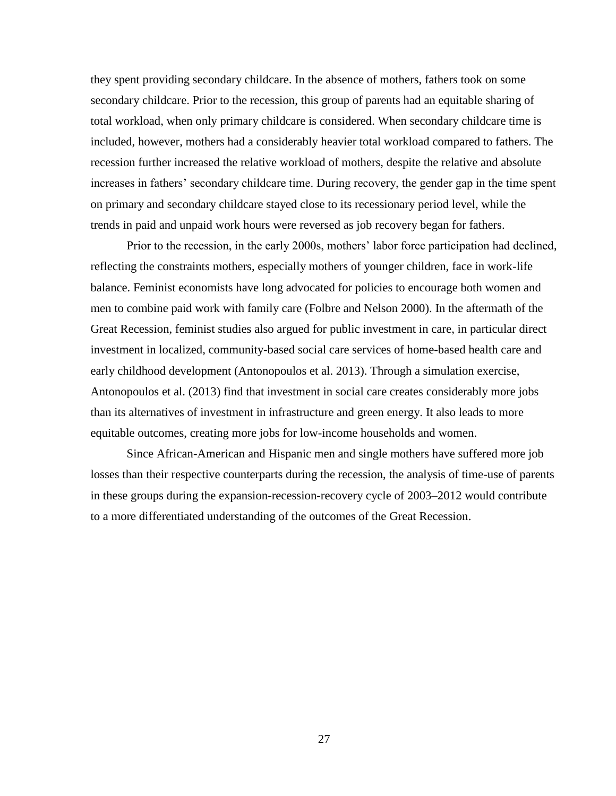they spent providing secondary childcare. In the absence of mothers, fathers took on some secondary childcare. Prior to the recession, this group of parents had an equitable sharing of total workload, when only primary childcare is considered. When secondary childcare time is included, however, mothers had a considerably heavier total workload compared to fathers. The recession further increased the relative workload of mothers, despite the relative and absolute increases in fathers' secondary childcare time. During recovery, the gender gap in the time spent on primary and secondary childcare stayed close to its recessionary period level, while the trends in paid and unpaid work hours were reversed as job recovery began for fathers.

Prior to the recession, in the early 2000s, mothers' labor force participation had declined, reflecting the constraints mothers, especially mothers of younger children, face in work-life balance. Feminist economists have long advocated for policies to encourage both women and men to combine paid work with family care (Folbre and Nelson 2000). In the aftermath of the Great Recession, feminist studies also argued for public investment in care, in particular direct investment in localized, community-based social care services of home-based health care and early childhood development (Antonopoulos et al. 2013). Through a simulation exercise, Antonopoulos et al. (2013) find that investment in social care creates considerably more jobs than its alternatives of investment in infrastructure and green energy. It also leads to more equitable outcomes, creating more jobs for low-income households and women.

Since African-American and Hispanic men and single mothers have suffered more job losses than their respective counterparts during the recession, the analysis of time-use of parents in these groups during the expansion-recession-recovery cycle of 2003–2012 would contribute to a more differentiated understanding of the outcomes of the Great Recession.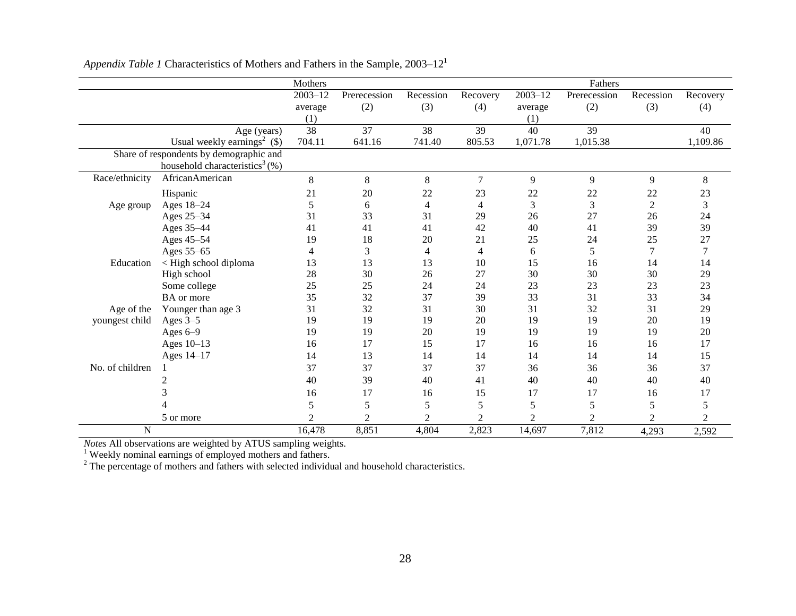|                 |                                               | Mothers        |                |                |                |                | Fathers        |                |                |
|-----------------|-----------------------------------------------|----------------|----------------|----------------|----------------|----------------|----------------|----------------|----------------|
|                 |                                               | $2003 - 12$    | Prerecession   | Recession      | Recovery       | $2003 - 12$    | Prerecession   | Recession      | Recovery       |
|                 |                                               | average        | (2)            | (3)            | (4)            | average        | (2)            | (3)            | (4)            |
|                 |                                               | (1)            |                |                |                | (1)            |                |                |                |
|                 | Age (years)                                   | 38             | 37             | 38             | 39             | 40             | 39             |                | 40             |
|                 | Usual weekly earnings <sup>2</sup> $(\$)$     | 704.11         | 641.16         | 741.40         | 805.53         | 1,071.78       | 1,015.38       |                | 1,109.86       |
|                 | Share of respondents by demographic and       |                |                |                |                |                |                |                |                |
|                 | household characteristics <sup>3</sup> $(\%)$ |                |                |                |                |                |                |                |                |
| Race/ethnicity  | AfricanAmerican                               | 8              | 8              | 8              | $\overline{7}$ | 9              | 9              | 9              | $8\,$          |
|                 | Hispanic                                      | 21             | 20             | 22             | 23             | 22             | 22             | 22             | 23             |
| Age group       | Ages 18-24                                    | 5              | 6              | 4              | 4              | 3              | 3              | $\overline{2}$ | 3              |
|                 | Ages 25-34                                    | 31             | 33             | 31             | 29             | 26             | 27             | 26             | 24             |
|                 | Ages 35-44                                    | 41             | 41             | 41             | 42             | 40             | 41             | 39             | 39             |
|                 | Ages 45-54                                    | 19             | 18             | 20             | 21             | 25             | 24             | 25             | 27             |
|                 | Ages 55-65                                    | 4              | 3              | 4              | 4              | 6              | 5              | 7              | $\tau$         |
| Education       | < High school diploma                         | 13             | 13             | 13             | 10             | 15             | 16             | 14             | 14             |
|                 | High school                                   | 28             | 30             | 26             | 27             | 30             | 30             | 30             | 29             |
|                 | Some college                                  | 25             | 25             | 24             | 24             | 23             | 23             | 23             | 23             |
|                 | BA or more                                    | 35             | 32             | 37             | 39             | 33             | 31             | 33             | 34             |
| Age of the      | Younger than age 3                            | 31             | 32             | 31             | 30             | 31             | 32             | 31             | 29             |
| youngest child  | Ages 3-5                                      | 19             | 19             | 19             | 20             | 19             | 19             | 20             | 19             |
|                 | Ages $6-9$                                    | 19             | 19             | 20             | 19             | 19             | 19             | 19             | 20             |
|                 | Ages 10-13                                    | 16             | 17             | 15             | 17             | 16             | 16             | 16             | 17             |
|                 | Ages 14-17                                    | 14             | 13             | 14             | 14             | 14             | 14             | 14             | 15             |
| No. of children |                                               | 37             | 37             | 37             | 37             | 36             | 36             | 36             | 37             |
|                 | 2                                             | 40             | 39             | 40             | 41             | 40             | 40             | 40             | 40             |
|                 |                                               | 16             | 17             | 16             | 15             | 17             | 17             | 16             | 17             |
|                 |                                               | 5              | 5              | 5              | 5              | 5              | 5              | 5              | 5              |
|                 | 5 or more                                     | $\overline{c}$ | $\overline{2}$ | $\overline{2}$ | $\overline{c}$ | $\overline{2}$ | $\overline{c}$ | 2              | $\overline{2}$ |
| N               |                                               | 16,478         | 8,851          | 4,804          | 2,823          | 14,697         | 7,812          | 4,293          | 2,592          |

*Appendix Table 1* Characteristics of Mothers and Fathers in the Sample, 2003–12<sup>1</sup>

*Notes* All observations are weighted by ATUS sampling weights.

<sup>1</sup> Weekly nominal earnings of employed mothers and fathers.

 $2^2$  The percentage of mothers and fathers with selected individual and household characteristics.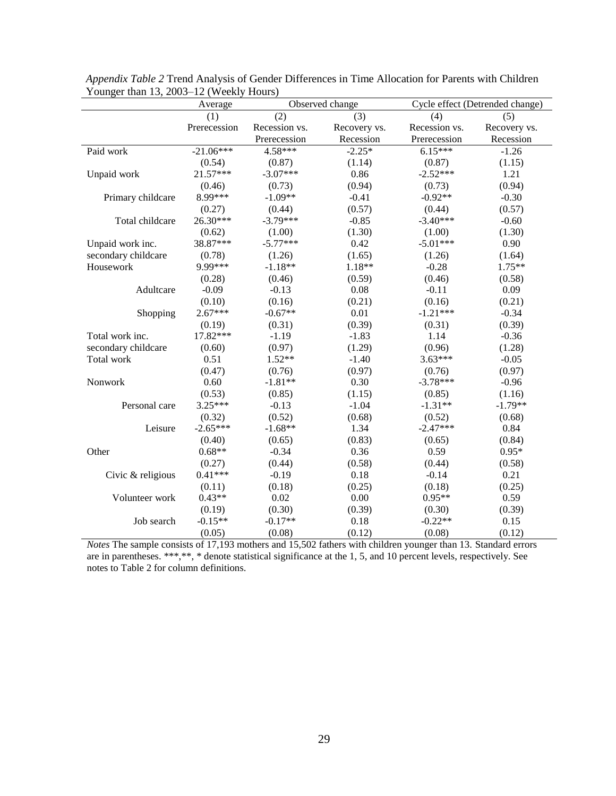|                     | Average      | Observed change |              | Cycle effect (Detrended change) |              |  |
|---------------------|--------------|-----------------|--------------|---------------------------------|--------------|--|
|                     | (1)          | (2)             | (3)          | (4)                             | (5)          |  |
|                     | Prerecession | Recession vs.   | Recovery vs. | Recession vs.                   | Recovery vs. |  |
|                     |              | Prerecession    | Recession    | Prerecession                    | Recession    |  |
| Paid work           | $-21.06***$  | 4.58***         | $-2.25*$     | $6.15***$                       | $-1.26$      |  |
|                     | (0.54)       | (0.87)          | (1.14)       | (0.87)                          | (1.15)       |  |
| Unpaid work         | 21.57***     | $-3.07***$      | 0.86         | $-2.52***$                      | 1.21         |  |
|                     | (0.46)       | (0.73)          | (0.94)       | (0.73)                          | (0.94)       |  |
| Primary childcare   | 8.99***      | $-1.09**$       | $-0.41$      | $-0.92**$                       | $-0.30$      |  |
|                     | (0.27)       | (0.44)          | (0.57)       | (0.44)                          | (0.57)       |  |
| Total childcare     | 26.30***     | $-3.79***$      | $-0.85$      | $-3.40***$                      | $-0.60$      |  |
|                     | (0.62)       | (1.00)          | (1.30)       | (1.00)                          | (1.30)       |  |
| Unpaid work inc.    | 38.87***     | $-5.77***$      | 0.42         | $-5.01***$                      | 0.90         |  |
| secondary childcare | (0.78)       | (1.26)          | (1.65)       | (1.26)                          | (1.64)       |  |
| Housework           | 9.99***      | $-1.18**$       | 1.18**       | $-0.28$                         | $1.75**$     |  |
|                     | (0.28)       | (0.46)          | (0.59)       | (0.46)                          | (0.58)       |  |
| Adultcare           | $-0.09$      | $-0.13$         | 0.08         | $-0.11$                         | 0.09         |  |
|                     | (0.10)       | (0.16)          | (0.21)       | (0.16)                          | (0.21)       |  |
| Shopping            | $2.67***$    | $-0.67**$       | $0.01\,$     | $-1.21***$                      | $-0.34$      |  |
|                     | (0.19)       | (0.31)          | (0.39)       | (0.31)                          | (0.39)       |  |
| Total work inc.     | 17.82***     | $-1.19$         | $-1.83$      | 1.14                            | $-0.36$      |  |
| secondary childcare | (0.60)       | (0.97)          | (1.29)       | (0.96)                          | (1.28)       |  |
| Total work          | 0.51         | $1.52**$        | $-1.40$      | $3.63***$                       | $-0.05$      |  |
|                     | (0.47)       | (0.76)          | (0.97)       | (0.76)                          | (0.97)       |  |
| Nonwork             | 0.60         | $-1.81**$       | 0.30         | $-3.78***$                      | $-0.96$      |  |
|                     | (0.53)       | (0.85)          | (1.15)       | (0.85)                          | (1.16)       |  |
| Personal care       | 3.25***      | $-0.13$         | $-1.04$      | $-1.31**$                       | $-1.79**$    |  |
|                     | (0.32)       | (0.52)          | (0.68)       | (0.52)                          | (0.68)       |  |
| Leisure             | $-2.65***$   | $-1.68**$       | 1.34         | $-2.47***$                      | 0.84         |  |
|                     | (0.40)       | (0.65)          | (0.83)       | (0.65)                          | (0.84)       |  |
| Other               | $0.68**$     | $-0.34$         | 0.36         | 0.59                            | $0.95*$      |  |
|                     | (0.27)       | (0.44)          | (0.58)       | (0.44)                          | (0.58)       |  |
| Civic & religious   | $0.41***$    | $-0.19$         | 0.18         | $-0.14$                         | 0.21         |  |
|                     | (0.11)       | (0.18)          | (0.25)       | (0.18)                          | (0.25)       |  |
| Volunteer work      | $0.43**$     | 0.02            | 0.00         | $0.95**$                        | 0.59         |  |
|                     | (0.19)       | (0.30)          | (0.39)       | (0.30)                          | (0.39)       |  |
| Job search          | $-0.15**$    | $-0.17**$       | 0.18         | $-0.22**$                       | 0.15         |  |
|                     | (0.05)       | (0.08)          | (0.12)       | (0.08)                          | (0.12)       |  |

*Appendix Table 2* Trend Analysis of Gender Differences in Time Allocation for Parents with Children Younger than 13, 2003–12 (Weekly Hours)

*Notes* The sample consists of 17,193 mothers and 15,502 fathers with children younger than 13. Standard errors are in parentheses. \*\*\*,\*\*, \* denote statistical significance at the 1, 5, and 10 percent levels, respectively. See notes to Table 2 for column definitions.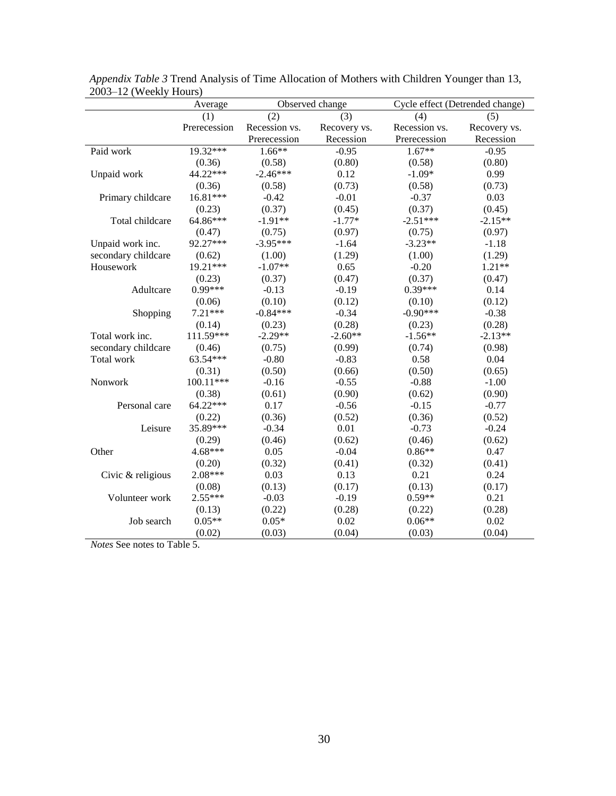|                     | Average      | Observed change |              | Cycle effect (Detrended change) |              |
|---------------------|--------------|-----------------|--------------|---------------------------------|--------------|
|                     | (1)          | (2)             | (3)          | (4)                             | (5)          |
|                     | Prerecession | Recession vs.   | Recovery vs. | Recession vs.                   | Recovery vs. |
|                     |              | Prerecession    | Recession    | Prerecession                    | Recession    |
| Paid work           | 19.32***     | $1.66**$        | $-0.95$      | $1.67**$                        | $-0.95$      |
|                     | (0.36)       | (0.58)          | (0.80)       | (0.58)                          | (0.80)       |
| Unpaid work         | 44.22***     | $-2.46***$      | 0.12         | $-1.09*$                        | 0.99         |
|                     | (0.36)       | (0.58)          | (0.73)       | (0.58)                          | (0.73)       |
| Primary childcare   | 16.81***     | $-0.42$         | $-0.01$      | $-0.37$                         | 0.03         |
|                     | (0.23)       | (0.37)          | (0.45)       | (0.37)                          | (0.45)       |
| Total childcare     | 64.86***     | $-1.91**$       | $-1.77*$     | $-2.51***$                      | $-2.15**$    |
|                     | (0.47)       | (0.75)          | (0.97)       | (0.75)                          | (0.97)       |
| Unpaid work inc.    | 92.27***     | $-3.95***$      | $-1.64$      | $-3.23**$                       | $-1.18$      |
| secondary childcare | (0.62)       | (1.00)          | (1.29)       | (1.00)                          | (1.29)       |
| Housework           | 19.21***     | $-1.07**$       | 0.65         | $-0.20$                         | $1.21**$     |
|                     | (0.23)       | (0.37)          | (0.47)       | (0.37)                          | (0.47)       |
| Adultcare           | 0.99***      | $-0.13$         | $-0.19$      | $0.39***$                       | 0.14         |
|                     | (0.06)       | (0.10)          | (0.12)       | (0.10)                          | (0.12)       |
| Shopping            | $7.21***$    | $-0.84***$      | $-0.34$      | $-0.90***$                      | $-0.38$      |
|                     | (0.14)       | (0.23)          | (0.28)       | (0.23)                          | (0.28)       |
| Total work inc.     | 111.59***    | $-2.29**$       | $-2.60**$    | $-1.56**$                       | $-2.13**$    |
| secondary childcare | (0.46)       | (0.75)          | (0.99)       | (0.74)                          | (0.98)       |
| Total work          | 63.54***     | $-0.80$         | $-0.83$      | 0.58                            | 0.04         |
|                     | (0.31)       | (0.50)          | (0.66)       | (0.50)                          | (0.65)       |
| Nonwork             | 100.11***    | $-0.16$         | $-0.55$      | $-0.88$                         | $-1.00$      |
|                     | (0.38)       | (0.61)          | (0.90)       | (0.62)                          | (0.90)       |
| Personal care       | 64.22***     | 0.17            | $-0.56$      | $-0.15$                         | $-0.77$      |
|                     | (0.22)       | (0.36)          | (0.52)       | (0.36)                          | (0.52)       |
| Leisure             | 35.89***     | $-0.34$         | 0.01         | $-0.73$                         | $-0.24$      |
|                     | (0.29)       | (0.46)          | (0.62)       | (0.46)                          | (0.62)       |
| Other               | 4.68***      | 0.05            | $-0.04$      | $0.86**$                        | 0.47         |
|                     | (0.20)       | (0.32)          | (0.41)       | (0.32)                          | (0.41)       |
| Civic & religious   | 2.08***      | 0.03            | 0.13         | 0.21                            | 0.24         |
|                     | (0.08)       | (0.13)          | (0.17)       | (0.13)                          | (0.17)       |
| Volunteer work      | $2.55***$    | $-0.03$         | $-0.19$      | $0.59**$                        | 0.21         |
|                     | (0.13)       | (0.22)          | (0.28)       | (0.22)                          | (0.28)       |
| Job search          | $0.05**$     | $0.05*$         | 0.02         | $0.06**$                        | 0.02         |
|                     | (0.02)       | (0.03)          | (0.04)       | (0.03)                          | (0.04)       |

*Appendix Table 3* Trend Analysis of Time Allocation of Mothers with Children Younger than 13, 2003–12 (Weekly Hours)

*Notes* See notes to Table 5.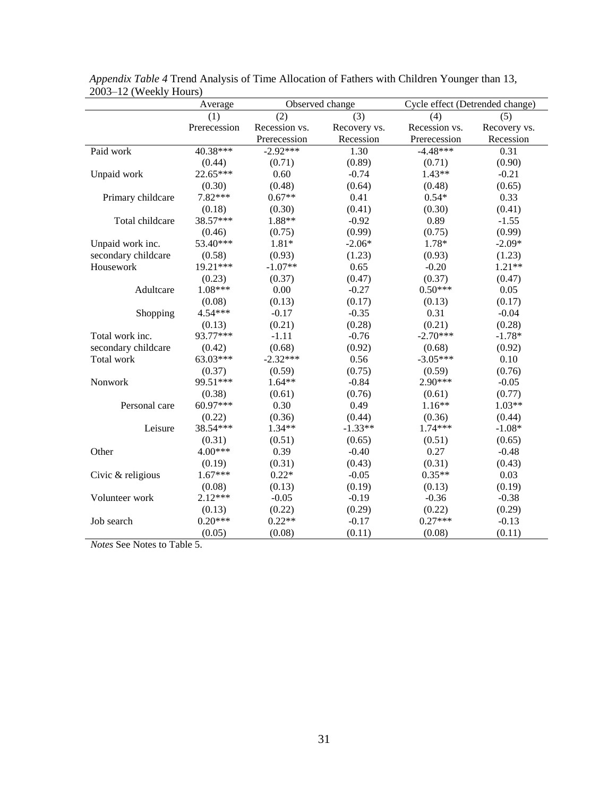|                     | Average      | Observed change |              |               | Cycle effect (Detrended change) |  |  |
|---------------------|--------------|-----------------|--------------|---------------|---------------------------------|--|--|
|                     | (1)          | (2)             | (3)          | (4)           | (5)                             |  |  |
|                     | Prerecession | Recession vs.   | Recovery vs. | Recession vs. | Recovery vs.                    |  |  |
|                     |              | Prerecession    | Recession    | Prerecession  | Recession                       |  |  |
| Paid work           | 40.38***     | $-2.92***$      | 1.30         | $-4.48***$    | 0.31                            |  |  |
|                     | (0.44)       | (0.71)          | (0.89)       | (0.71)        | (0.90)                          |  |  |
| Unpaid work         | 22.65***     | 0.60            | $-0.74$      | $1.43**$      | $-0.21$                         |  |  |
|                     | (0.30)       | (0.48)          | (0.64)       | (0.48)        | (0.65)                          |  |  |
| Primary childcare   | 7.82***      | $0.67**$        | 0.41         | $0.54*$       | 0.33                            |  |  |
|                     | (0.18)       | (0.30)          | (0.41)       | (0.30)        | (0.41)                          |  |  |
| Total childcare     | 38.57***     | 1.88**          | $-0.92$      | 0.89          | $-1.55$                         |  |  |
|                     | (0.46)       | (0.75)          | (0.99)       | (0.75)        | (0.99)                          |  |  |
| Unpaid work inc.    | 53.40***     | $1.81*$         | $-2.06*$     | 1.78*         | $-2.09*$                        |  |  |
| secondary childcare | (0.58)       | (0.93)          | (1.23)       | (0.93)        | (1.23)                          |  |  |
| Housework           | 19.21***     | $-1.07**$       | 0.65         | $-0.20$       | $1.21**$                        |  |  |
|                     | (0.23)       | (0.37)          | (0.47)       | (0.37)        | (0.47)                          |  |  |
| Adultcare           | 1.08***      | 0.00            | $-0.27$      | $0.50***$     | 0.05                            |  |  |
|                     | (0.08)       | (0.13)          | (0.17)       | (0.13)        | (0.17)                          |  |  |
| Shopping            | 4.54***      | $-0.17$         | $-0.35$      | 0.31          | $-0.04$                         |  |  |
|                     | (0.13)       | (0.21)          | (0.28)       | (0.21)        | (0.28)                          |  |  |
| Total work inc.     | 93.77***     | $-1.11$         | $-0.76$      | $-2.70***$    | $-1.78*$                        |  |  |
| secondary childcare | (0.42)       | (0.68)          | (0.92)       | (0.68)        | (0.92)                          |  |  |
| Total work          | $63.03***$   | $-2.32***$      | 0.56         | $-3.05***$    | 0.10                            |  |  |
|                     | (0.37)       | (0.59)          | (0.75)       | (0.59)        | (0.76)                          |  |  |
| Nonwork             | 99.51***     | $1.64**$        | $-0.84$      | $2.90***$     | $-0.05$                         |  |  |
|                     | (0.38)       | (0.61)          | (0.76)       | (0.61)        | (0.77)                          |  |  |
| Personal care       | 60.97***     | 0.30            | 0.49         | $1.16**$      | $1.03**$                        |  |  |
|                     | (0.22)       | (0.36)          | (0.44)       | (0.36)        | (0.44)                          |  |  |
| Leisure             | 38.54***     | $1.34**$        | $-1.33**$    | $1.74***$     | $-1.08*$                        |  |  |
|                     | (0.31)       | (0.51)          | (0.65)       | (0.51)        | (0.65)                          |  |  |
| Other               | 4.00***      | 0.39            | $-0.40$      | 0.27          | $-0.48$                         |  |  |
|                     | (0.19)       | (0.31)          | (0.43)       | (0.31)        | (0.43)                          |  |  |
| Civic & religious   | $1.67***$    | $0.22*$         | $-0.05$      | $0.35**$      | 0.03                            |  |  |
|                     | (0.08)       | (0.13)          | (0.19)       | (0.13)        | (0.19)                          |  |  |
| Volunteer work      | $2.12***$    | $-0.05$         | $-0.19$      | $-0.36$       | $-0.38$                         |  |  |
|                     | (0.13)       | (0.22)          | (0.29)       | (0.22)        | (0.29)                          |  |  |
| Job search          | $0.20***$    | $0.22**$        | $-0.17$      | $0.27***$     | $-0.13$                         |  |  |
|                     | (0.05)       | (0.08)          | (0.11)       | (0.08)        | (0.11)                          |  |  |

*Appendix Table 4* Trend Analysis of Time Allocation of Fathers with Children Younger than 13, 2003–12 (Weekly Hours)

*Notes* See Notes to Table 5.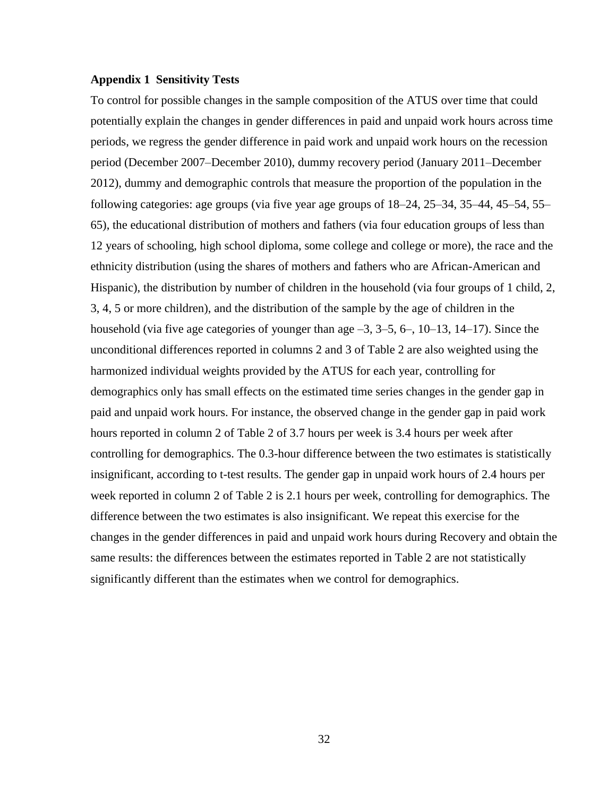## **Appendix 1 Sensitivity Tests**

To control for possible changes in the sample composition of the ATUS over time that could potentially explain the changes in gender differences in paid and unpaid work hours across time periods, we regress the gender difference in paid work and unpaid work hours on the recession period (December 2007–December 2010), dummy recovery period (January 2011–December 2012), dummy and demographic controls that measure the proportion of the population in the following categories: age groups (via five year age groups of 18–24, 25–34, 35–44, 45–54, 55– 65), the educational distribution of mothers and fathers (via four education groups of less than 12 years of schooling, high school diploma, some college and college or more), the race and the ethnicity distribution (using the shares of mothers and fathers who are African-American and Hispanic), the distribution by number of children in the household (via four groups of 1 child, 2, 3, 4, 5 or more children), and the distribution of the sample by the age of children in the household (via five age categories of younger than age  $-3$ ,  $3-5$ ,  $6-$ ,  $10-13$ ,  $14-17$ ). Since the unconditional differences reported in columns 2 and 3 of Table 2 are also weighted using the harmonized individual weights provided by the ATUS for each year, controlling for demographics only has small effects on the estimated time series changes in the gender gap in paid and unpaid work hours. For instance, the observed change in the gender gap in paid work hours reported in column 2 of Table 2 of 3.7 hours per week is 3.4 hours per week after controlling for demographics. The 0.3-hour difference between the two estimates is statistically insignificant, according to t-test results. The gender gap in unpaid work hours of 2.4 hours per week reported in column 2 of Table 2 is 2.1 hours per week, controlling for demographics. The difference between the two estimates is also insignificant. We repeat this exercise for the changes in the gender differences in paid and unpaid work hours during Recovery and obtain the same results: the differences between the estimates reported in Table 2 are not statistically significantly different than the estimates when we control for demographics.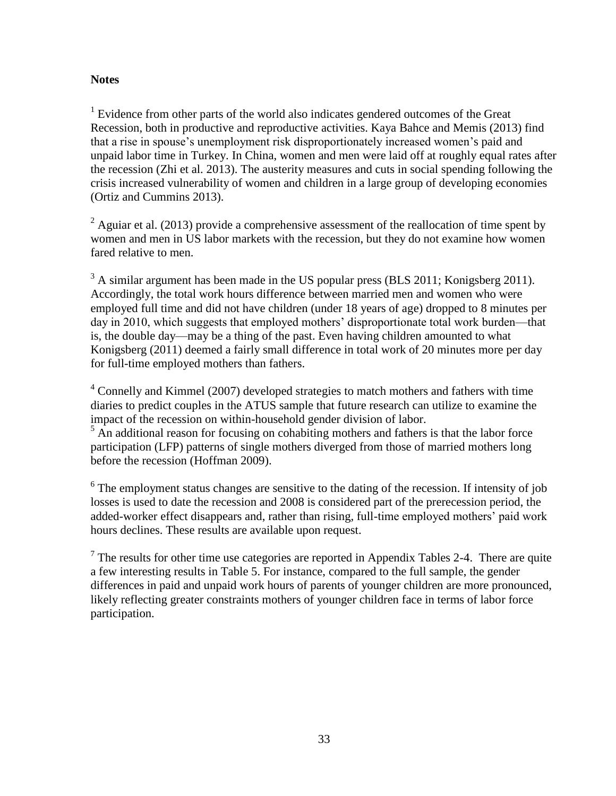# **Notes**

 $1$  Evidence from other parts of the world also indicates gendered outcomes of the Great Recession, both in productive and reproductive activities. Kaya Bahce and Memis (2013) find that a rise in spouse's unemployment risk disproportionately increased women's paid and unpaid labor time in Turkey. In China, women and men were laid off at roughly equal rates after the recession (Zhi et al. 2013). The austerity measures and cuts in social spending following the crisis increased vulnerability of women and children in a large group of developing economies (Ortiz and Cummins 2013).

 $^{2}$  Aguiar et al. (2013) provide a comprehensive assessment of the reallocation of time spent by women and men in US labor markets with the recession, but they do not examine how women fared relative to men.

<sup>3</sup> A similar argument has been made in the US popular press (BLS 2011; Konigsberg 2011). Accordingly, the total work hours difference between married men and women who were employed full time and did not have children (under 18 years of age) dropped to 8 minutes per day in 2010, which suggests that employed mothers' disproportionate total work burden—that is, the double day—may be a thing of the past. Even having children amounted to what Konigsberg (2011) deemed a fairly small difference in total work of 20 minutes more per day for full-time employed mothers than fathers.

<sup>4</sup> Connelly and Kimmel (2007) developed strategies to match mothers and fathers with time diaries to predict couples in the ATUS sample that future research can utilize to examine the impact of the recession on within-household gender division of labor.

 $<sup>5</sup>$  An additional reason for focusing on cohabiting mothers and fathers is that the labor force</sup> participation (LFP) patterns of single mothers diverged from those of married mothers long before the recession (Hoffman 2009).

<sup>6</sup> The employment status changes are sensitive to the dating of the recession. If intensity of job losses is used to date the recession and 2008 is considered part of the prerecession period, the added-worker effect disappears and, rather than rising, full-time employed mothers' paid work hours declines. These results are available upon request.

 $7$  The results for other time use categories are reported in Appendix Tables 2-4. There are quite a few interesting results in Table 5. For instance, compared to the full sample, the gender differences in paid and unpaid work hours of parents of younger children are more pronounced, likely reflecting greater constraints mothers of younger children face in terms of labor force participation.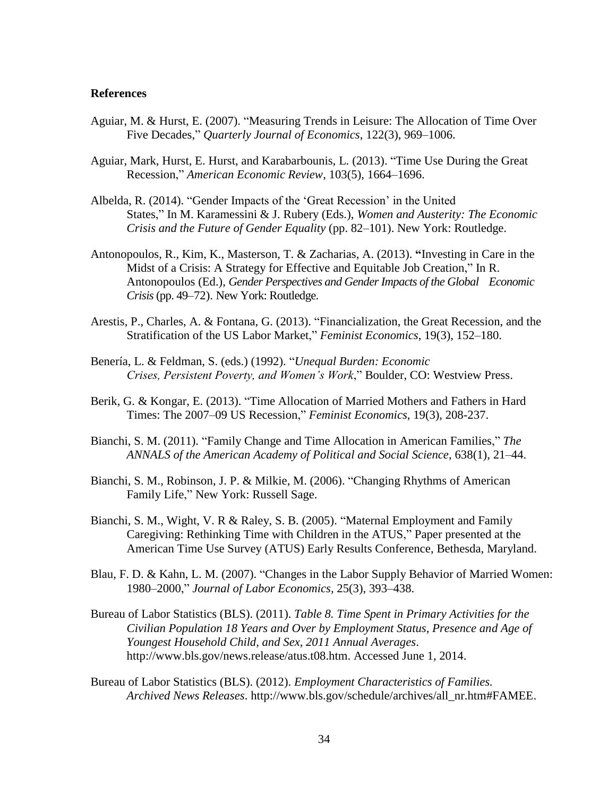#### **References**

- Aguiar, M. & Hurst, E. (2007). "Measuring Trends in Leisure: The Allocation of Time Over Five Decades," *Quarterly Journal of Economics*, 122(3), 969–1006.
- Aguiar, Mark, Hurst, E. Hurst, and Karabarbounis, L. (2013). "Time Use During the Great Recession," *American Economic Review*, 103(5), 1664–1696.
- Albelda, R. (2014). "Gender Impacts of the 'Great Recession' in the United States," In M. Karamessini & J. Rubery (Eds.), *Women and Austerity: The Economic Crisis and the Future of Gender Equality* (pp. 82–101). New York: Routledge.
- Antonopoulos, R., Kim, K., Masterson, T. & Zacharias, A. (2013). **"**Investing in Care in the Midst of a Crisis: A Strategy for Effective and Equitable Job Creation," In R. Antonopoulos (Ed.), *Gender Perspectives and Gender Impacts of the Global Economic Crisis*(pp. 49–72). New York: Routledge.
- Arestis, P., Charles, A. & Fontana, G. (2013). "Financialization, the Great Recession, and the Stratification of the US Labor Market," *Feminist Economics*, 19(3), 152–180.
- Benería, L. & Feldman, S. (eds.) (1992). "*Unequal Burden: Economic Crises, Persistent Poverty, and Women's Work*," Boulder, CO: Westview Press.
- Berik, G. & Kongar, E. (2013). "Time Allocation of Married Mothers and Fathers in Hard Times: The 2007–09 US Recession," *Feminist Economics*, 19(3), 208-237.
- Bianchi, S. M. (2011). "Family Change and Time Allocation in American Families," *The ANNALS of the American Academy of Political and Social Science*, 638(1), 21–44.
- Bianchi, S. M., Robinson, J. P. & Milkie, M. (2006). "Changing Rhythms of American Family Life," New York: Russell Sage.
- Bianchi, S. M., Wight, V. R & Raley, S. B. (2005). "Maternal Employment and Family Caregiving: Rethinking Time with Children in the ATUS," Paper presented at the American Time Use Survey (ATUS) Early Results Conference, Bethesda, Maryland.
- Blau, F. D. & Kahn, L. M. (2007). "Changes in the Labor Supply Behavior of Married Women: 1980–2000," *Journal of Labor Economics*, 25(3), 393–438.
- Bureau of Labor Statistics (BLS). (2011). *Table 8. Time Spent in Primary Activities for the Civilian Population 18 Years and Over by Employment Status, Presence and Age of Youngest Household Child, and Sex, 2011 Annual Averages*. http://www.bls.gov/news.release/atus.t08.htm. Accessed June 1, 2014.
- Bureau of Labor Statistics (BLS). (2012). *Employment Characteristics of Families. Archived News Releases*. http://www.bls.gov/schedule/archives/all\_nr.htm#FAMEE.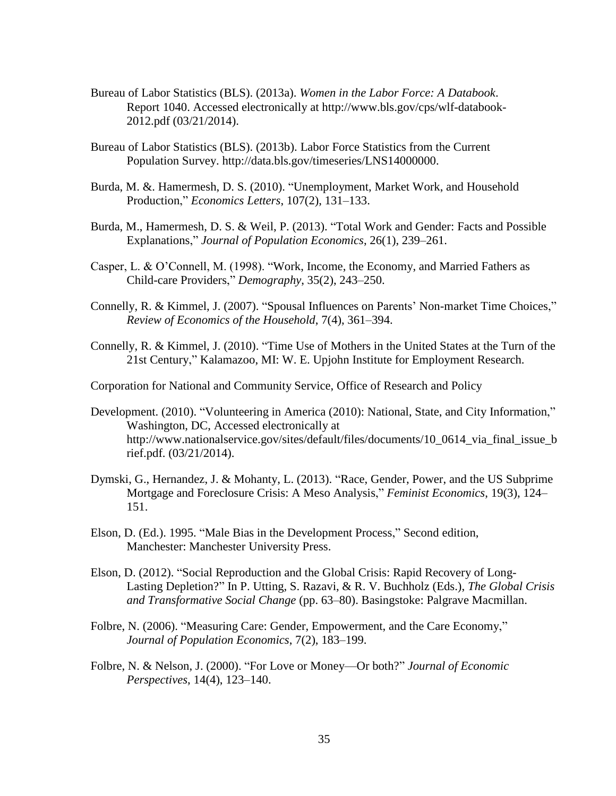- Bureau of Labor Statistics (BLS). (2013a). *Women in the Labor Force: A Databook*. Report 1040. Accessed electronically at http://www.bls.gov/cps/wlf-databook-2012.pdf (03/21/2014).
- Bureau of Labor Statistics (BLS). (2013b). Labor Force Statistics from the Current Population Survey. http://data.bls.gov/timeseries/LNS14000000.
- Burda, M. &. Hamermesh, D. S. (2010). "Unemployment, Market Work, and Household Production," *Economics Letters*, 107(2), 131–133.
- Burda, M., Hamermesh, D. S. & Weil, P. (2013). ["Total Work and Gender: Facts and Possible](http://ideas.repec.org/a/spr/jopoec/v26y2013i1p239-261.html)  [Explanations,](http://ideas.repec.org/a/spr/jopoec/v26y2013i1p239-261.html)" *[Journal of Population Economics](http://ideas.repec.org/s/spr/jopoec.html)*, 26(1), 239–261.
- Casper, L. & O'Connell, M. (1998). "Work, Income, the Economy, and Married Fathers as Child-care Providers," *Demography*, 35(2), 243–250.
- Connelly, R. & Kimmel, J. (2007). "Spousal Influences on Parents' Non-market Time Choices," *Review of Economics of the Household*, 7(4), 361–394.
- Connelly, R. & Kimmel, J. (2010). "Time Use of Mothers in the United States at the Turn of the 21st Century," Kalamazoo, MI: W. E. Upjohn Institute for Employment Research.

Corporation for National and Community Service, Office of Research and Policy

- Development. (2010). "Volunteering in America (2010): National, State, and City Information," Washington, DC, Accessed electronically at http://www.nationalservice.gov/sites/default/files/documents/10\_0614\_via\_final\_issue\_b rief.pdf. (03/21/2014).
- Dymski, G., Hernandez, J. & Mohanty, L. (2013). "Race, Gender, Power, and the US Subprime Mortgage and Foreclosure Crisis: A Meso Analysis," *Feminist Economics*, 19(3), 124– 151.
- Elson, D. (Ed.). 1995. "Male Bias in the Development Process," Second edition, Manchester: Manchester University Press.
- Elson, D. (2012). "Social Reproduction and the Global Crisis: Rapid Recovery of Long-Lasting Depletion?" In P. Utting, S. Razavi, & R. V. Buchholz (Eds.), *The Global Crisis and Transformative Social Change* (pp. 63–80). Basingstoke: Palgrave Macmillan.
- Folbre, N. (2006). "Measuring Care: Gender, Empowerment, and the Care Economy," *Journal of Population Economics*, 7(2), 183–199.
- Folbre, N. & Nelson, J. (2000). "For Love or Money—Or both?" *Journal of Economic Perspectives*, 14(4), 123–140.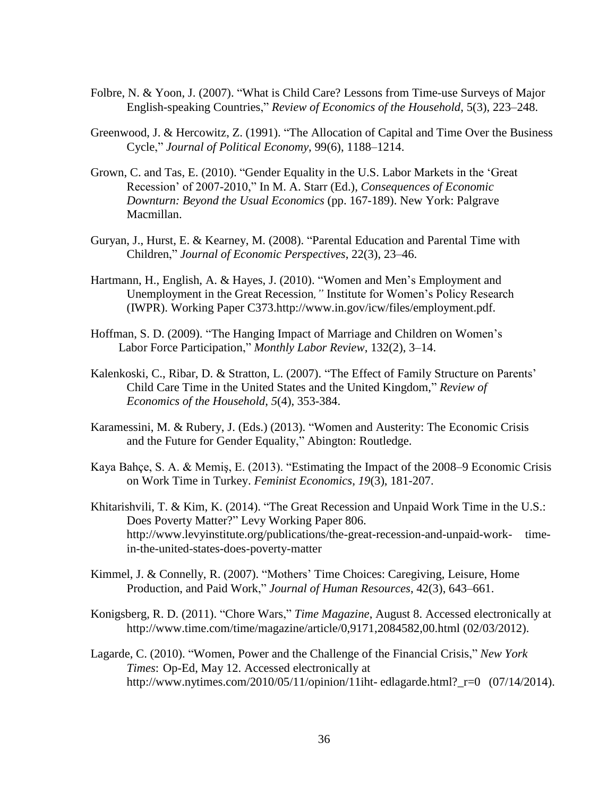- Folbre, N. & Yoon, J. (2007). "What is Child Care? Lessons from Time-use Surveys of Major English-speaking Countries," *Review of Economics of the Household*, 5(3), 223–248.
- Greenwood, J. & Hercowitz, Z. (1991). "The Allocation of Capital and Time Over the Business Cycle," *Journal of Political Economy*, 99(6), 1188–1214.
- Grown, C. and Tas, E. (2010). "Gender Equality in the U.S. Labor Markets in the 'Great Recession' of 2007-2010," In M. A. Starr (Ed.), *Consequences of Economic Downturn: Beyond the Usual Economics* (pp. 167-189). New York: Palgrave Macmillan.
- Guryan, J., Hurst, E. & Kearney, M. (2008). "Parental Education and Parental Time with Children," *Journal of Economic Perspectives*, 22(3), 23–46.
- Hartmann, H., English, A. & Hayes, J. (2010). "Women and Men's Employment and Unemployment in the Great Recession*,"* Institute for Women's Policy Research (IWPR). Working Paper C373.http://www.in.gov/icw/files/employment.pdf.
- Hoffman, S. D. (2009). "The Hanging Impact of Marriage and Children on Women's Labor Force Participation," *Monthly Labor Review*, 132(2), 3–14.
- Kalenkoski, C., Ribar, D. & Stratton, L. (2007). ["The Effect of Family Structure on Parents'](http://ideas.repec.org/a/kap/reveho/v5y2007i4p353-384.html)  [Child Care Time in the United States and the United Kingdom,](http://ideas.repec.org/a/kap/reveho/v5y2007i4p353-384.html)" *[Review of](http://ideas.repec.org/s/kap/reveho.html)  [Economics of the Household](http://ideas.repec.org/s/kap/reveho.html)*, *5*(4), 353-384.
- Karamessini, M. & Rubery, J. (Eds.) (2013). "Women and Austerity: The Economic Crisis and the Future for Gender Equality," Abington: Routledge.
- Kaya Bahçe, S. A. & Memiş, E. (2013). "Estimating the Impact of the 2008–9 Economic Crisis on Work Time in Turkey. *Feminist Economics*, *19*(3), 181-207.
- Khitarishvili, T. & Kim, K. (2014). "The Great Recession and Unpaid Work Time in the U.S.: Does Poverty Matter?" Levy Working Paper 806. http://www.levyinstitute.org/publications/the-great-recession-and-unpaid-work- timein-the-united-states-does-poverty-matter
- Kimmel, J. & Connelly, R. (2007). "Mothers' Time Choices: Caregiving, Leisure, Home Production, and Paid Work," *Journal of Human Resources*, 42(3), 643–661.
- Konigsberg, R. D. (2011). "Chore Wars," *Time Magazine*, August 8. Accessed electronically at http://www.time.com/time/magazine/article/0,9171,2084582,00.html (02/03/2012).
- Lagarde, C. (2010). "Women, Power and the Challenge of the Financial Crisis," *New York Times*: Op-Ed, May 12. Accessed electronically at http://www.nytimes.com/2010/05/11/opinion/11iht- edlagarde.html?\_r=0 (07/14/2014).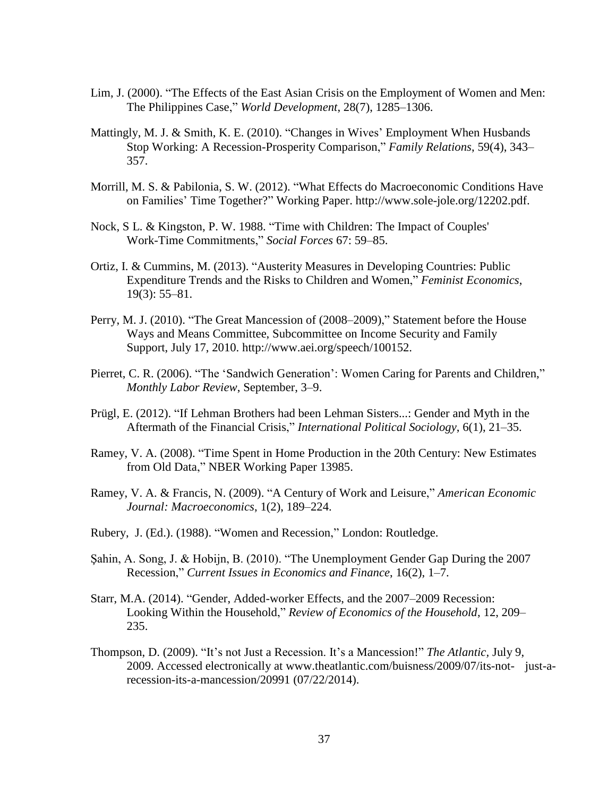- Lim, J. (2000). "The Effects of the East Asian Crisis on the Employment of Women and Men: The Philippines Case," *World Development*, 28(7), 1285–1306.
- Mattingly, M. J. & Smith, K. E. (2010). "Changes in Wives' Employment When Husbands Stop Working: A Recession-Prosperity Comparison," *Family Relations*, 59(4), 343– 357.
- Morrill, M. S. & Pabilonia, S. W. (2012). "What Effects do Macroeconomic Conditions Have on Families' Time Together?" Working Paper. http://www.sole-jole.org/12202.pdf.
- Nock, S L. & Kingston, P. W. 1988. "Time with Children: The Impact of Couples' Work-Time Commitments," *Social Forces* 67: 59–85.
- Ortiz, I. & Cummins, M. (2013). "Austerity Measures in Developing Countries: Public Expenditure Trends and the Risks to Children and Women," *Feminist Economics*, 19(3): 55–81.
- Perry, M. J. (2010). "The Great Mancession of (2008–2009)," Statement before the House Ways and Means Committee, Subcommittee on Income Security and Family Support, July 17, 2010. http://www.aei.org/speech/100152.
- Pierret, C. R. (2006). "The 'Sandwich Generation': Women Caring for Parents and Children," *Monthly Labor Review*, September, 3–9.
- Prügl, E. (2012). "If Lehman Brothers had been Lehman Sisters...: Gender and Myth in the Aftermath of the Financial Crisis," *International Political Sociology*, 6(1), 21–35.
- Ramey, V. A. (2008). "Time Spent in Home Production in the 20th Century: New Estimates from Old Data," NBER Working Paper 13985.
- Ramey, V. A. & Francis, N. (2009). "A Century of Work and Leisure," *American Economic Journal: Macroeconomics*, 1(2), 189–224.
- Rubery, J. (Ed.). (1988). "Women and Recession," London: Routledge.
- Şahin, A. Song, J. & Hobijn, B. (2010). "The Unemployment Gender Gap During the 2007 Recession," *Current Issues in Economics and Finance*, 16(2), 1–7.
- Starr, M.A. (2014). "Gender, Added-worker Effects, and the 2007–2009 Recession: Looking Within the Household," *Review of Economics of the Household*, 12, 209– 235.
- Thompson, D. (2009). "It's not Just a Recession. It's a Mancession!" *The Atlantic,* July 9, 2009. Accessed electronically at www.theatlantic.com/buisness/2009/07/its-not- just-arecession-its-a-mancession/20991 (07/22/2014).